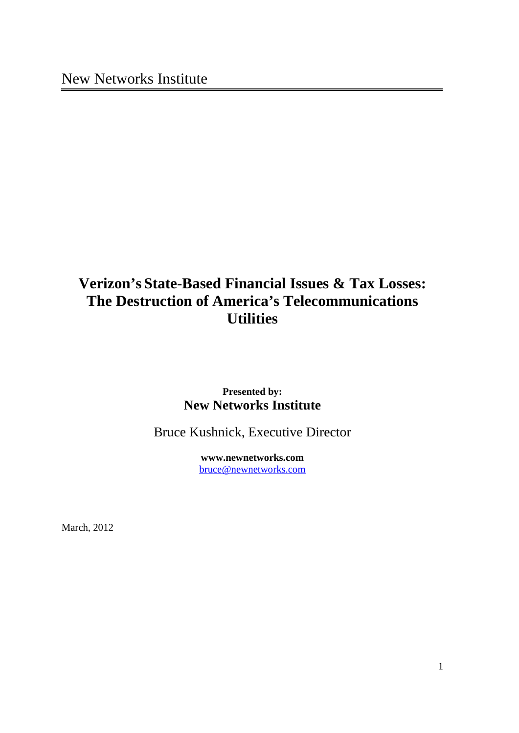# **Verizon's State-Based Financial Issues & Tax Losses: The Destruction of America's Telecommunications Utilities**

## **Presented by: New Networks Institute**

Bruce Kushnick, Executive Director

**www.newnetworks.com** bruce@newnetworks.com

March, 2012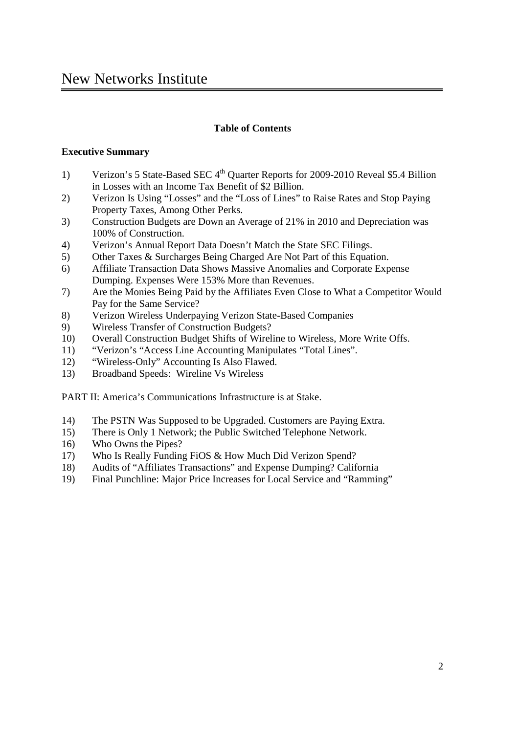## **Table of Contents**

## **Executive Summary**

- 1) Verizon's 5 State-Based SEC  $4<sup>th</sup>$  Quarter Reports for 2009-2010 Reveal \$5.4 Billion in Losses with an Income Tax Benefit of \$2 Billion.
- 2) Verizon Is Using "Losses" and the "Loss of Lines" to Raise Rates and Stop Paying Property Taxes, Among Other Perks.
- 3) Construction Budgets are Down an Average of 21% in 2010 and Depreciation was 100% of Construction.
- 4) Verizon's Annual Report Data Doesn't Match the State SEC Filings.
- 5) Other Taxes & Surcharges Being Charged Are Not Part of this Equation.
- 6) Affiliate Transaction Data Shows Massive Anomalies and Corporate Expense Dumping. Expenses Were 153% More than Revenues.
- 7) Are the Monies Being Paid by the Affiliates Even Close to What a Competitor Would Pay for the Same Service?
- 8) Verizon Wireless Underpaying Verizon State-Based Companies
- 9) Wireless Transfer of Construction Budgets?
- 10) Overall Construction Budget Shifts of Wireline to Wireless, More Write Offs.
- 11) "Verizon's "Access Line Accounting Manipulates "Total Lines".
- 12) "Wireless-Only" Accounting Is Also Flawed.
- 13) Broadband Speeds: Wireline Vs Wireless

PART II: America's Communications Infrastructure is at Stake.

- 14) The PSTN Was Supposed to be Upgraded. Customers are Paying Extra.
- 15) There is Only 1 Network; the Public Switched Telephone Network.
- 16) Who Owns the Pipes?
- 17) Who Is Really Funding FiOS & How Much Did Verizon Spend?
- 18) Audits of "Affiliates Transactions" and Expense Dumping? California
- 19) Final Punchline: Major Price Increases for Local Service and "Ramming"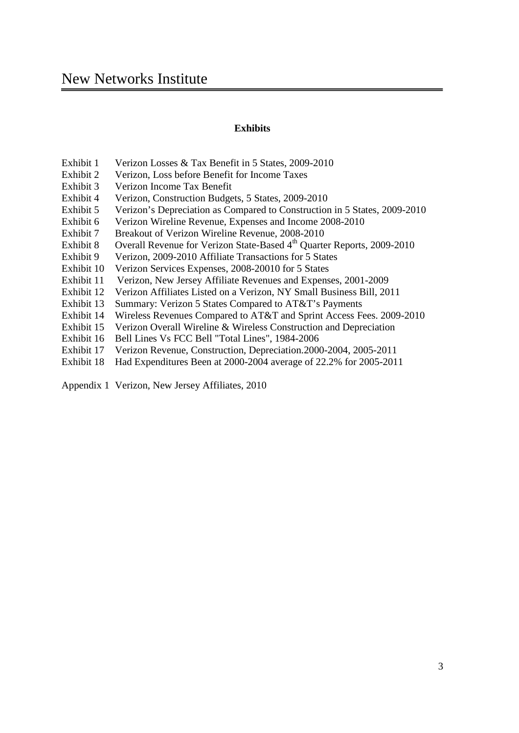#### **Exhibits**

- Exhibit 1 Verizon Losses & Tax Benefit in 5 States, 2009-2010
- Exhibit 2 Verizon, Loss before Benefit for Income Taxes
- Exhibit 3 Verizon Income Tax Benefit
- Exhibit 4 Verizon, Construction Budgets, 5 States, 2009-2010
- Exhibit 5 Verizon's Depreciation as Compared to Construction in 5 States, 2009-2010
- Exhibit 6 Verizon Wireline Revenue, Expenses and Income 2008-2010
- Exhibit 7 Breakout of Verizon Wireline Revenue, 2008-2010
- Exhibit 8 Overall Revenue for Verizon State-Based 4<sup>th</sup> Quarter Reports, 2009-2010
- Exhibit 9 Verizon, 2009-2010 Affiliate Transactions for 5 States
- Exhibit 10 Verizon Services Expenses, 2008-20010 for 5 States
- Exhibit 11 Verizon, New Jersey Affiliate Revenues and Expenses, 2001-2009
- Exhibit 12 Verizon Affiliates Listed on a Verizon, NY Small Business Bill, 2011
- Exhibit 13 Summary: Verizon 5 States Compared to AT&T's Payments
- Exhibit 14 Wireless Revenues Compared to AT&T and Sprint Access Fees. 2009-2010
- Exhibit 15 Verizon Overall Wireline & Wireless Construction and Depreciation
- Exhibit 16 Bell Lines Vs FCC Bell "Total Lines", 1984-2006
- Exhibit 17 Verizon Revenue, Construction, Depreciation.2000-2004, 2005-2011
- Exhibit 18 Had Expenditures Been at 2000-2004 average of 22.2% for 2005-2011

Appendix 1 Verizon, New Jersey Affiliates, 2010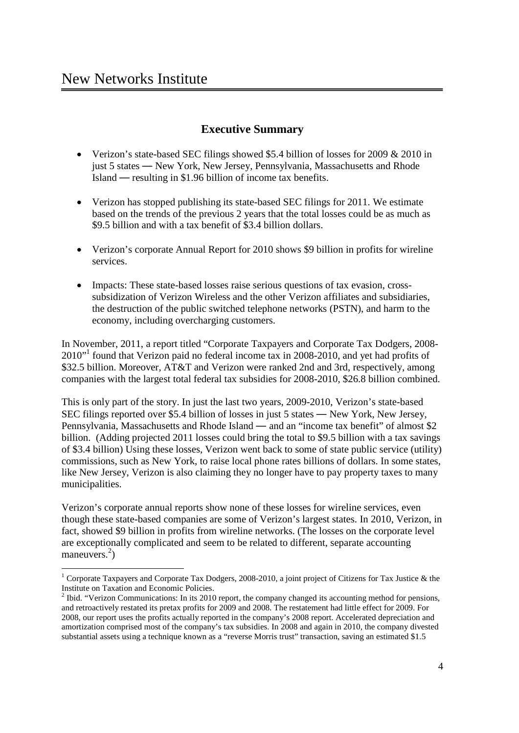## **Executive Summary**

- · Verizon's state-based SEC filings showed \$5.4 billion of losses for 2009 & 2010 in just 5 states — New York, New Jersey, Pennsylvania, Massachusetts and Rhode Island — resulting in \$1.96 billion of income tax benefits.
- · Verizon has stopped publishing its state-based SEC filings for 2011. We estimate based on the trends of the previous 2 years that the total losses could be as much as \$9.5 billion and with a tax benefit of \$3.4 billion dollars.
- Verizon's corporate Annual Report for 2010 shows \$9 billion in profits for wireline services.
- · Impacts: These state-based losses raise serious questions of tax evasion, crosssubsidization of Verizon Wireless and the other Verizon affiliates and subsidiaries, the destruction of the public switched telephone networks (PSTN), and harm to the economy, including overcharging customers.

In November, 2011, a report titled "Corporate Taxpayers and Corporate Tax Dodgers, 2008- 2010"<sup>1</sup> found that Verizon paid no federal income tax in 2008-2010, and yet had profits of \$32.5 billion. Moreover, AT&T and Verizon were ranked 2nd and 3rd, respectively, among companies with the largest total federal tax subsidies for 2008-2010, \$26.8 billion combined.

This is only part of the story. In just the last two years, 2009-2010, Verizon's state-based SEC filings reported over \$5.4 billion of losses in just 5 states — New York, New Jersey, Pennsylvania, Massachusetts and Rhode Island — and an "income tax benefit" of almost \$2 billion. (Adding projected 2011 losses could bring the total to \$9.5 billion with a tax savings of \$3.4 billion) Using these losses, Verizon went back to some of state public service (utility) commissions, such as New York, to raise local phone rates billions of dollars. In some states, like New Jersey, Verizon is also claiming they no longer have to pay property taxes to many municipalities.

Verizon's corporate annual reports show none of these losses for wireline services, even though these state-based companies are some of Verizon's largest states. In 2010, Verizon, in fact, showed \$9 billion in profits from wireline networks. (The losses on the corporate level are exceptionally complicated and seem to be related to different, separate accounting maneuvers.<sup>2</sup>)

 $\frac{1}{1}$ <sup>1</sup> Corporate Taxpayers and Corporate Tax Dodgers, 2008-2010, a joint project of Citizens for Tax Justice & the Institute on Taxation and Economic Policies. 2

<sup>&</sup>lt;sup>2</sup> Ibid. "Verizon Communications: In its 2010 report, the company changed its accounting method for pensions, and retroactively restated its pretax profits for 2009 and 2008. The restatement had little effect for 2009. For 2008, our report uses the profits actually reported in the company's 2008 report. Accelerated depreciation and amortization comprised most of the company's tax subsidies. In 2008 and again in 2010, the company divested substantial assets using a technique known as a "reverse Morris trust" transaction, saving an estimated \$1.5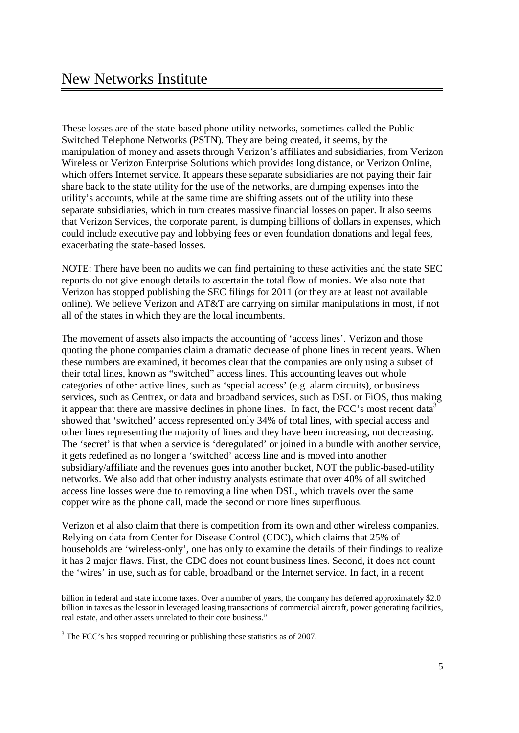These losses are of the state-based phone utility networks, sometimes called the Public Switched Telephone Networks (PSTN). They are being created, it seems, by the manipulation of money and assets through Verizon's affiliates and subsidiaries, from Verizon Wireless or Verizon Enterprise Solutions which provides long distance, or Verizon Online, which offers Internet service. It appears these separate subsidiaries are not paying their fair share back to the state utility for the use of the networks, are dumping expenses into the utility's accounts, while at the same time are shifting assets out of the utility into these separate subsidiaries, which in turn creates massive financial losses on paper. It also seems that Verizon Services, the corporate parent, is dumping billions of dollars in expenses, which could include executive pay and lobbying fees or even foundation donations and legal fees, exacerbating the state-based losses.

NOTE: There have been no audits we can find pertaining to these activities and the state SEC reports do not give enough details to ascertain the total flow of monies. We also note that Verizon has stopped publishing the SEC filings for 2011 (or they are at least not available online). We believe Verizon and AT&T are carrying on similar manipulations in most, if not all of the states in which they are the local incumbents.

The movement of assets also impacts the accounting of 'access lines'. Verizon and those quoting the phone companies claim a dramatic decrease of phone lines in recent years. When these numbers are examined, it becomes clear that the companies are only using a subset of their total lines, known as "switched" access lines. This accounting leaves out whole categories of other active lines, such as 'special access' (e.g. alarm circuits), or business services, such as Centrex, or data and broadband services, such as DSL or FiOS, thus making it appear that there are massive declines in phone lines. In fact, the FCC's most recent data<sup>3</sup> showed that 'switched' access represented only 34% of total lines, with special access and other lines representing the majority of lines and they have been increasing, not decreasing. The 'secret' is that when a service is 'deregulated' or joined in a bundle with another service, it gets redefined as no longer a 'switched' access line and is moved into another subsidiary/affiliate and the revenues goes into another bucket, NOT the public-based-utility networks. We also add that other industry analysts estimate that over 40% of all switched access line losses were due to removing a line when DSL, which travels over the same copper wire as the phone call, made the second or more lines superfluous.

Verizon et al also claim that there is competition from its own and other wireless companies. Relying on data from Center for Disease Control (CDC), which claims that 25% of households are 'wireless-only', one has only to examine the details of their findings to realize it has 2 major flaws. First, the CDC does not count business lines. Second, it does not count the 'wires' in use, such as for cable, broadband or the Internet service. In fact, in a recent

billion in federal and state income taxes. Over a number of years, the company has deferred approximately \$2.0 billion in taxes as the lessor in leveraged leasing transactions of commercial aircraft, power generating facilities, real estate, and other assets unrelated to their core business."

 $3$  The FCC's has stopped requiring or publishing these statistics as of 2007.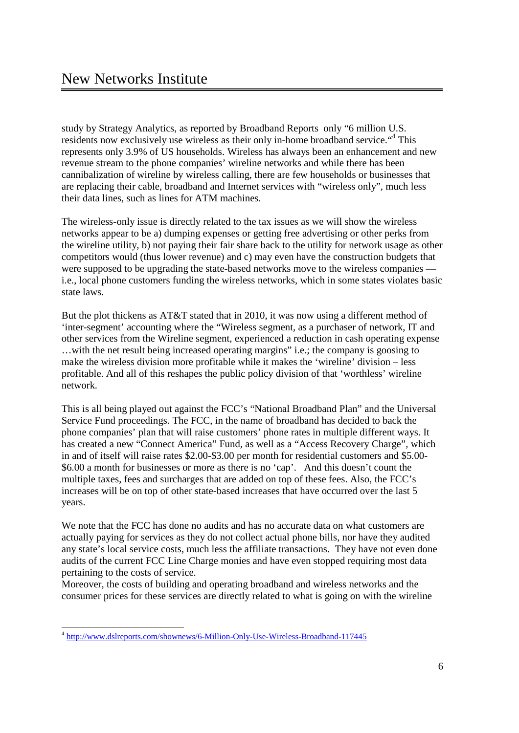study by Strategy Analytics, as reported by Broadband Reports only "6 million U.S. residents now exclusively use wireless as their only in-home broadband service."<sup>4</sup> This represents only 3.9% of US households. Wireless has always been an enhancement and new revenue stream to the phone companies' wireline networks and while there has been cannibalization of wireline by wireless calling, there are few households or businesses that are replacing their cable, broadband and Internet services with "wireless only", much less their data lines, such as lines for ATM machines.

The wireless-only issue is directly related to the tax issues as we will show the wireless networks appear to be a) dumping expenses or getting free advertising or other perks from the wireline utility, b) not paying their fair share back to the utility for network usage as other competitors would (thus lower revenue) and c) may even have the construction budgets that were supposed to be upgrading the state-based networks move to the wireless companies i.e., local phone customers funding the wireless networks, which in some states violates basic state laws.

But the plot thickens as AT&T stated that in 2010, it was now using a different method of 'inter-segment' accounting where the "Wireless segment, as a purchaser of network, IT and other services from the Wireline segment, experienced a reduction in cash operating expense …with the net result being increased operating margins" i.e.; the company is goosing to make the wireless division more profitable while it makes the 'wireline' division – less profitable. And all of this reshapes the public policy division of that 'worthless' wireline network.

This is all being played out against the FCC's "National Broadband Plan" and the Universal Service Fund proceedings. The FCC, in the name of broadband has decided to back the phone companies' plan that will raise customers' phone rates in multiple different ways. It has created a new "Connect America" Fund, as well as a "Access Recovery Charge", which in and of itself will raise rates \$2.00-\$3.00 per month for residential customers and \$5.00- \$6.00 a month for businesses or more as there is no 'cap'. And this doesn't count the multiple taxes, fees and surcharges that are added on top of these fees. Also, the FCC's increases will be on top of other state-based increases that have occurred over the last 5 years.

We note that the FCC has done no audits and has no accurate data on what customers are actually paying for services as they do not collect actual phone bills, nor have they audited any state's local service costs, much less the affiliate transactions. They have not even done audits of the current FCC Line Charge monies and have even stopped requiring most data pertaining to the costs of service.

Moreover, the costs of building and operating broadband and wireless networks and the consumer prices for these services are directly related to what is going on with the wireline

 <sup>4</sup> http://www.dslreports.com/shownews/6-Million-Only-Use-Wireless-Broadband-117445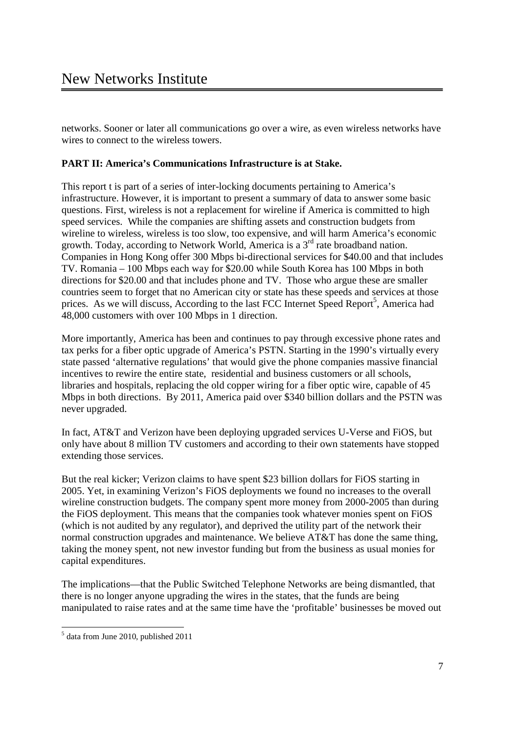networks. Sooner or later all communications go over a wire, as even wireless networks have wires to connect to the wireless towers.

## **PART II: America's Communications Infrastructure is at Stake.**

This report t is part of a series of inter-locking documents pertaining to America's infrastructure. However, it is important to present a summary of data to answer some basic questions. First, wireless is not a replacement for wireline if America is committed to high speed services. While the companies are shifting assets and construction budgets from wireline to wireless, wireless is too slow, too expensive, and will harm America's economic growth. Today, according to Network World, America is a  $3<sup>rd</sup>$  rate broadband nation. Companies in Hong Kong offer 300 Mbps bi-directional services for \$40.00 and that includes TV. Romania – 100 Mbps each way for \$20.00 while South Korea has 100 Mbps in both directions for \$20.00 and that includes phone and TV. Those who argue these are smaller countries seem to forget that no American city or state has these speeds and services at those prices. As we will discuss, According to the last FCC Internet Speed Report<sup>5</sup>, America had 48,000 customers with over 100 Mbps in 1 direction.

More importantly, America has been and continues to pay through excessive phone rates and tax perks for a fiber optic upgrade of America's PSTN. Starting in the 1990's virtually every state passed 'alternative regulations' that would give the phone companies massive financial incentives to rewire the entire state, residential and business customers or all schools, libraries and hospitals, replacing the old copper wiring for a fiber optic wire, capable of 45 Mbps in both directions. By 2011, America paid over \$340 billion dollars and the PSTN was never upgraded.

In fact, AT&T and Verizon have been deploying upgraded services U-Verse and FiOS, but only have about 8 million TV customers and according to their own statements have stopped extending those services.

But the real kicker; Verizon claims to have spent \$23 billion dollars for FiOS starting in 2005. Yet, in examining Verizon's FiOS deployments we found no increases to the overall wireline construction budgets. The company spent more money from 2000-2005 than during the FiOS deployment. This means that the companies took whatever monies spent on FiOS (which is not audited by any regulator), and deprived the utility part of the network their normal construction upgrades and maintenance. We believe AT&T has done the same thing, taking the money spent, not new investor funding but from the business as usual monies for capital expenditures.

The implications—that the Public Switched Telephone Networks are being dismantled, that there is no longer anyone upgrading the wires in the states, that the funds are being manipulated to raise rates and at the same time have the 'profitable' businesses be moved out

 <sup>5</sup>  $<sup>5</sup>$  data from June 2010, published 2011</sup>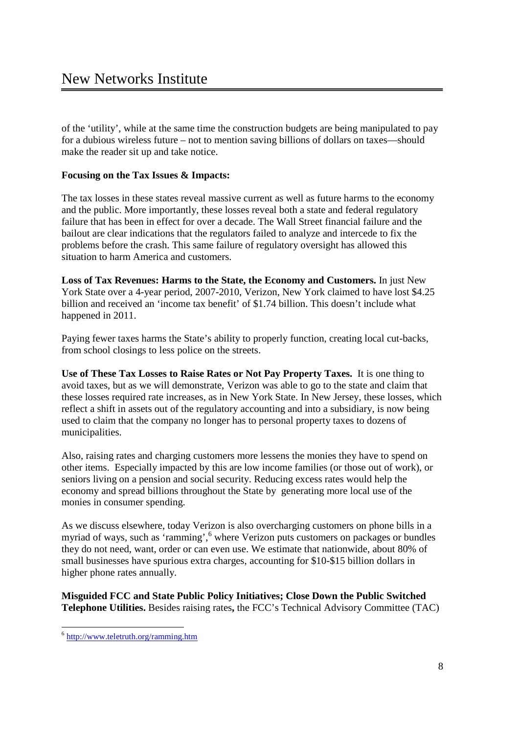of the 'utility', while at the same time the construction budgets are being manipulated to pay for a dubious wireless future – not to mention saving billions of dollars on taxes—should make the reader sit up and take notice.

## **Focusing on the Tax Issues & Impacts:**

The tax losses in these states reveal massive current as well as future harms to the economy and the public. More importantly, these losses reveal both a state and federal regulatory failure that has been in effect for over a decade. The Wall Street financial failure and the bailout are clear indications that the regulators failed to analyze and intercede to fix the problems before the crash. This same failure of regulatory oversight has allowed this situation to harm America and customers.

**Loss of Tax Revenues: Harms to the State, the Economy and Customers.** In just New York State over a 4-year period, 2007-2010, Verizon, New York claimed to have lost \$4.25 billion and received an 'income tax benefit' of \$1.74 billion. This doesn't include what happened in 2011.

Paying fewer taxes harms the State's ability to properly function, creating local cut-backs, from school closings to less police on the streets.

**Use of These Tax Losses to Raise Rates or Not Pay Property Taxes.** It is one thing to avoid taxes, but as we will demonstrate, Verizon was able to go to the state and claim that these losses required rate increases, as in New York State. In New Jersey, these losses, which reflect a shift in assets out of the regulatory accounting and into a subsidiary, is now being used to claim that the company no longer has to personal property taxes to dozens of municipalities.

Also, raising rates and charging customers more lessens the monies they have to spend on other items. Especially impacted by this are low income families (or those out of work), or seniors living on a pension and social security. Reducing excess rates would help the economy and spread billions throughout the State by generating more local use of the monies in consumer spending.

As we discuss elsewhere, today Verizon is also overcharging customers on phone bills in a myriad of ways, such as 'ramming', <sup>6</sup> where Verizon puts customers on packages or bundles they do not need, want, order or can even use. We estimate that nationwide, about 80% of small businesses have spurious extra charges, accounting for \$10-\$15 billion dollars in higher phone rates annually.

**Misguided FCC and State Public Policy Initiatives; Close Down the Public Switched Telephone Utilities.** Besides raising rates**,** the FCC's Technical Advisory Committee (TAC)

 <sup>6</sup> http://www.teletruth.org/ramming.htm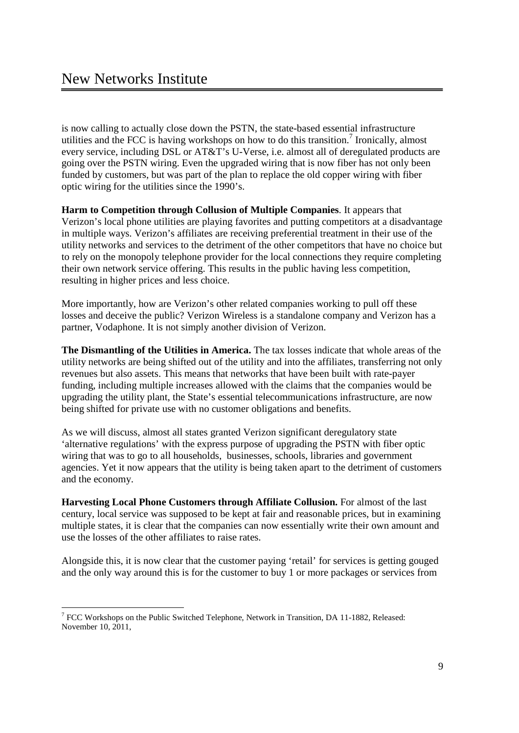is now calling to actually close down the PSTN, the state-based essential infrastructure utilities and the FCC is having workshops on how to do this transition.<sup>7</sup> Ironically, almost every service, including DSL or AT&T's U-Verse, i.e. almost all of deregulated products are going over the PSTN wiring. Even the upgraded wiring that is now fiber has not only been funded by customers, but was part of the plan to replace the old copper wiring with fiber optic wiring for the utilities since the 1990's.

**Harm to Competition through Collusion of Multiple Companies**. It appears that Verizon's local phone utilities are playing favorites and putting competitors at a disadvantage in multiple ways. Verizon's affiliates are receiving preferential treatment in their use of the utility networks and services to the detriment of the other competitors that have no choice but to rely on the monopoly telephone provider for the local connections they require completing their own network service offering. This results in the public having less competition, resulting in higher prices and less choice.

More importantly, how are Verizon's other related companies working to pull off these losses and deceive the public? Verizon Wireless is a standalone company and Verizon has a partner, Vodaphone. It is not simply another division of Verizon.

**The Dismantling of the Utilities in America.** The tax losses indicate that whole areas of the utility networks are being shifted out of the utility and into the affiliates, transferring not only revenues but also assets. This means that networks that have been built with rate-payer funding, including multiple increases allowed with the claims that the companies would be upgrading the utility plant, the State's essential telecommunications infrastructure, are now being shifted for private use with no customer obligations and benefits.

As we will discuss, almost all states granted Verizon significant deregulatory state 'alternative regulations' with the express purpose of upgrading the PSTN with fiber optic wiring that was to go to all households, businesses, schools, libraries and government agencies. Yet it now appears that the utility is being taken apart to the detriment of customers and the economy.

**Harvesting Local Phone Customers through Affiliate Collusion.** For almost of the last century, local service was supposed to be kept at fair and reasonable prices, but in examining multiple states, it is clear that the companies can now essentially write their own amount and use the losses of the other affiliates to raise rates.

Alongside this, it is now clear that the customer paying 'retail' for services is getting gouged and the only way around this is for the customer to buy 1 or more packages or services from

 <sup>7</sup> FCC Workshops on the Public Switched Telephone, Network in Transition, DA 11-1882, Released: November 10, 2011,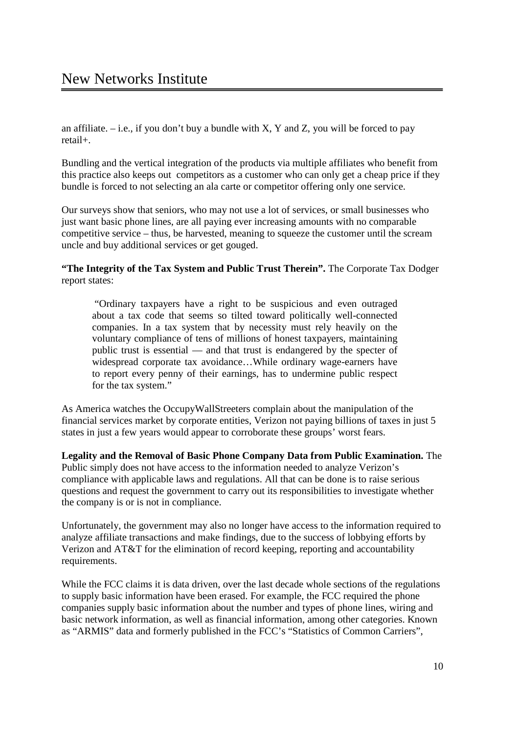an affiliate.  $-$  i.e., if you don't buy a bundle with X, Y and Z, you will be forced to pay retail+.

Bundling and the vertical integration of the products via multiple affiliates who benefit from this practice also keeps out competitors as a customer who can only get a cheap price if they bundle is forced to not selecting an ala carte or competitor offering only one service.

Our surveys show that seniors, who may not use a lot of services, or small businesses who just want basic phone lines, are all paying ever increasing amounts with no comparable competitive service – thus, be harvested, meaning to squeeze the customer until the scream uncle and buy additional services or get gouged.

**"The Integrity of the Tax System and Public Trust Therein".** The Corporate Tax Dodger report states:

 "Ordinary taxpayers have a right to be suspicious and even outraged about a tax code that seems so tilted toward politically well-connected companies. In a tax system that by necessity must rely heavily on the voluntary compliance of tens of millions of honest taxpayers, maintaining public trust is essential — and that trust is endangered by the specter of widespread corporate tax avoidance…While ordinary wage-earners have to report every penny of their earnings, has to undermine public respect for the tax system."

As America watches the OccupyWallStreeters complain about the manipulation of the financial services market by corporate entities, Verizon not paying billions of taxes in just 5 states in just a few years would appear to corroborate these groups' worst fears.

**Legality and the Removal of Basic Phone Company Data from Public Examination.** The Public simply does not have access to the information needed to analyze Verizon's compliance with applicable laws and regulations. All that can be done is to raise serious questions and request the government to carry out its responsibilities to investigate whether the company is or is not in compliance.

Unfortunately, the government may also no longer have access to the information required to analyze affiliate transactions and make findings, due to the success of lobbying efforts by Verizon and AT&T for the elimination of record keeping, reporting and accountability requirements.

While the FCC claims it is data driven, over the last decade whole sections of the regulations to supply basic information have been erased. For example, the FCC required the phone companies supply basic information about the number and types of phone lines, wiring and basic network information, as well as financial information, among other categories. Known as "ARMIS" data and formerly published in the FCC's "Statistics of Common Carriers",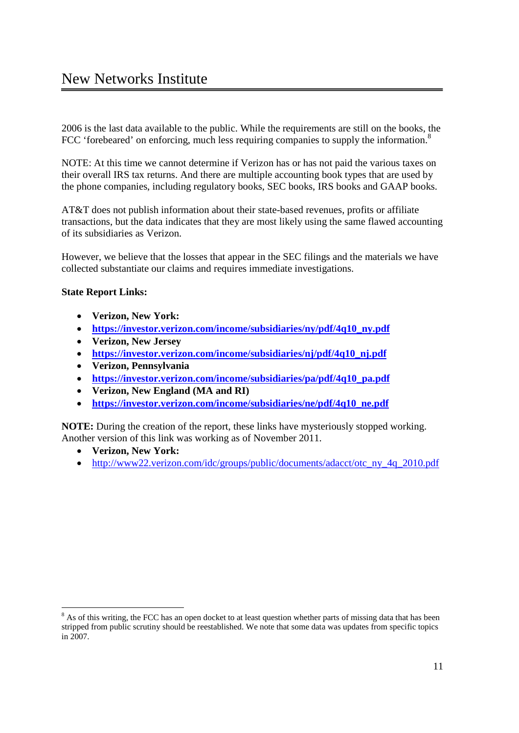2006 is the last data available to the public. While the requirements are still on the books, the FCC 'forebeared' on enforcing, much less requiring companies to supply the information.<sup>8</sup>

NOTE: At this time we cannot determine if Verizon has or has not paid the various taxes on their overall IRS tax returns. And there are multiple accounting book types that are used by the phone companies, including regulatory books, SEC books, IRS books and GAAP books.

AT&T does not publish information about their state-based revenues, profits or affiliate transactions, but the data indicates that they are most likely using the same flawed accounting of its subsidiaries as Verizon.

However, we believe that the losses that appear in the SEC filings and the materials we have collected substantiate our claims and requires immediate investigations.

## **State Report Links:**

- · **Verizon, New York:**
- · **https://investor.verizon.com/income/subsidiaries/ny/pdf/4q10\_ny.pdf**
- · **Verizon, New Jersey**
- · **https://investor.verizon.com/income/subsidiaries/nj/pdf/4q10\_nj.pdf**
- · **Verizon, Pennsylvania**
- · **https://investor.verizon.com/income/subsidiaries/pa/pdf/4q10\_pa.pdf**
- · **Verizon, New England (MA and RI)**
- · **https://investor.verizon.com/income/subsidiaries/ne/pdf/4q10\_ne.pdf**

**NOTE:** During the creation of the report, these links have mysteriously stopped working. Another version of this link was working as of November 2011.

- · **Verizon, New York:**
- http://www22.verizon.com/idc/groups/public/documents/adacct/otc\_ny\_4q\_2010.pdf

 $\frac{1}{8}$ <sup>8</sup> As of this writing, the FCC has an open docket to at least question whether parts of missing data that has been stripped from public scrutiny should be reestablished. We note that some data was updates from specific topics in 2007.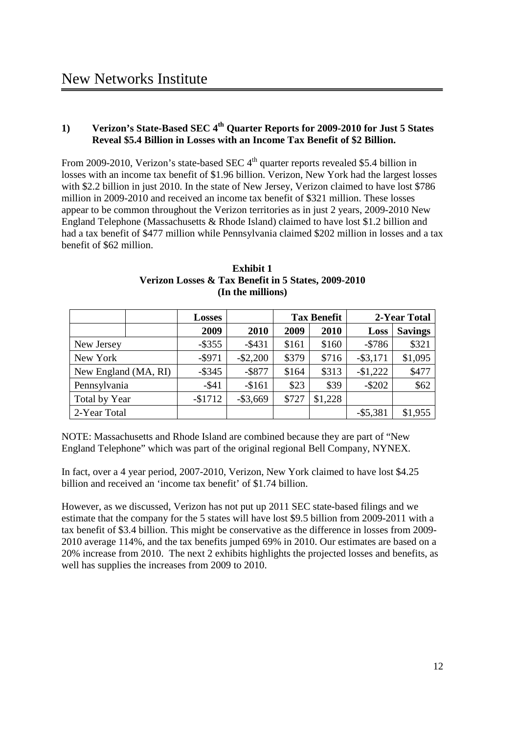## **1) Verizon's State-Based SEC 4th Quarter Reports for 2009-2010 for Just 5 States Reveal \$5.4 Billion in Losses with an Income Tax Benefit of \$2 Billion.**

From 2009-2010, Verizon's state-based SEC  $4<sup>th</sup>$  quarter reports revealed \$5.4 billion in losses with an income tax benefit of \$1.96 billion. Verizon, New York had the largest losses with \$2.2 billion in just 2010. In the state of New Jersey, Verizon claimed to have lost \$786 million in 2009-2010 and received an income tax benefit of \$321 million. These losses appear to be common throughout the Verizon territories as in just 2 years, 2009-2010 New England Telephone (Massachusetts & Rhode Island) claimed to have lost \$1.2 billion and had a tax benefit of \$477 million while Pennsylvania claimed \$202 million in losses and a tax benefit of \$62 million.

|                      | Losses     |             |       | <b>Tax Benefit</b> |             | 2-Year Total   |
|----------------------|------------|-------------|-------|--------------------|-------------|----------------|
|                      | 2009       | 2010        | 2009  | 2010               | Loss        | <b>Savings</b> |
| New Jersey           | $-$ \$355  | $-$ \$431   | \$161 | \$160              | $-5786$     | \$321          |
| New York             | $-$ \$971  | $-$ \$2,200 | \$379 | \$716              | $-$ \$3,171 | \$1,095        |
| New England (MA, RI) | $-$ \$345  | $-$ \$877   | \$164 | \$313              | $-$1,222$   | \$477          |
| Pennsylvania         | $-$ \$41   | $-$161$     | \$23  | \$39               | $-$ \$202   | \$62           |
| Total by Year        | $-$ \$1712 | $-$ \$3,669 | \$727 | \$1,228            |             |                |
| 2-Year Total         |            |             |       |                    | $-$ \$5,381 | \$1,955        |

| <b>Exhibit 1</b>                                    |
|-----------------------------------------------------|
| Verizon Losses & Tax Benefit in 5 States, 2009-2010 |
| (In the millions)                                   |

NOTE: Massachusetts and Rhode Island are combined because they are part of "New England Telephone" which was part of the original regional Bell Company, NYNEX.

In fact, over a 4 year period, 2007-2010, Verizon, New York claimed to have lost \$4.25 billion and received an 'income tax benefit' of \$1.74 billion.

However, as we discussed, Verizon has not put up 2011 SEC state-based filings and we estimate that the company for the 5 states will have lost \$9.5 billion from 2009-2011 with a tax benefit of \$3.4 billion. This might be conservative as the difference in losses from 2009- 2010 average 114%, and the tax benefits jumped 69% in 2010. Our estimates are based on a 20% increase from 2010. The next 2 exhibits highlights the projected losses and benefits, as well has supplies the increases from 2009 to 2010.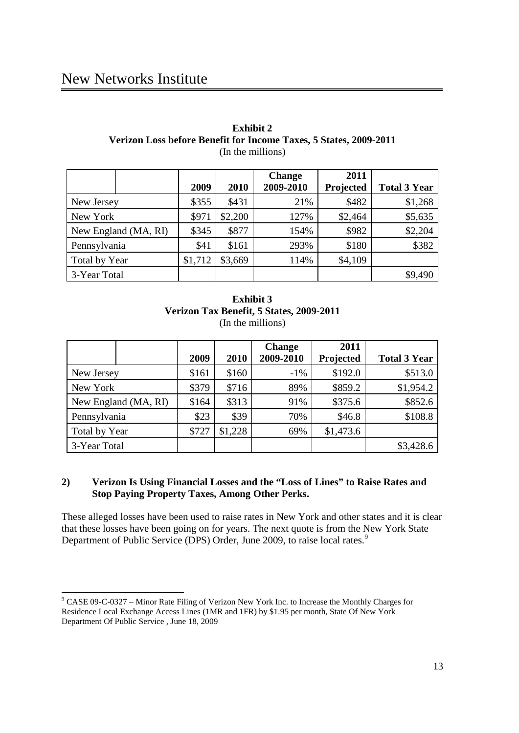## New Networks Institute

#### **Exhibit 2 Verizon Loss before Benefit for Income Taxes, 5 States, 2009-2011** (In the millions)

|                      |         |         | <b>Change</b> | 2011      |                     |
|----------------------|---------|---------|---------------|-----------|---------------------|
|                      | 2009    | 2010    | 2009-2010     | Projected | <b>Total 3 Year</b> |
| New Jersey           | \$355   | \$431   | 21%           | \$482     | \$1,268             |
| New York             | \$971   | \$2,200 | 127%          | \$2,464   | \$5,635             |
| New England (MA, RI) | \$345   | \$877   | 154%          | \$982     | \$2,204             |
| Pennsylvania         | \$41    | \$161   | 293%          | \$180     | \$382               |
| Total by Year        | \$1,712 | \$3,669 | 114%          | \$4,109   |                     |
| 3-Year Total         |         |         |               |           | \$9,490             |

## **Exhibit 3 Verizon Tax Benefit, 5 States, 2009-2011** (In the millions)

|                      | 2009  | 2010    | <b>Change</b><br>2009-2010 | 2011<br>Projected | <b>Total 3 Year</b> |
|----------------------|-------|---------|----------------------------|-------------------|---------------------|
| New Jersey           | \$161 | \$160   | $-1\%$                     | \$192.0           | \$513.0             |
| New York             | \$379 | \$716   | 89%                        | \$859.2           | \$1,954.2           |
| New England (MA, RI) | \$164 | \$313   | 91%                        | \$375.6           | \$852.6             |
| Pennsylvania         | \$23  | \$39    | 70%                        | \$46.8            | \$108.8             |
| Total by Year        | \$727 | \$1,228 | 69%                        | \$1,473.6         |                     |
| 3-Year Total         |       |         |                            |                   | \$3,428.6           |

## **2) Verizon Is Using Financial Losses and the "Loss of Lines" to Raise Rates and Stop Paying Property Taxes, Among Other Perks.**

These alleged losses have been used to raise rates in New York and other states and it is clear that these losses have been going on for years. The next quote is from the New York State Department of Public Service (DPS) Order, June 2009, to raise local rates.<sup>9</sup>

 <sup>9</sup> CASE 09-C-0327 – Minor Rate Filing of Verizon New York Inc. to Increase the Monthly Charges for Residence Local Exchange Access Lines (1MR and 1FR) by \$1.95 per month, State Of New York Department Of Public Service , June 18, 2009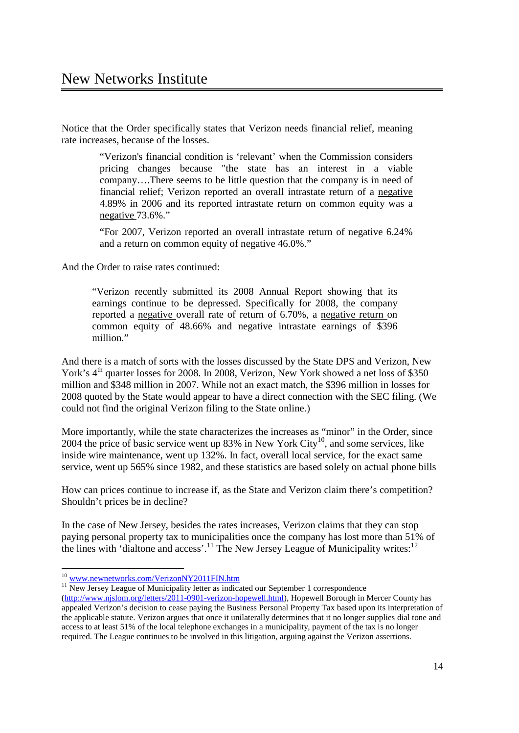Notice that the Order specifically states that Verizon needs financial relief, meaning rate increases, because of the losses.

> "Verizon's financial condition is 'relevant' when the Commission considers pricing changes because "the state has an interest in a viable company….There seems to be little question that the company is in need of financial relief; Verizon reported an overall intrastate return of a negative 4.89% in 2006 and its reported intrastate return on common equity was a negative 73.6%."

> "For 2007, Verizon reported an overall intrastate return of negative 6.24% and a return on common equity of negative 46.0%."

And the Order to raise rates continued:

"Verizon recently submitted its 2008 Annual Report showing that its earnings continue to be depressed. Specifically for 2008, the company reported a negative overall rate of return of 6.70%, a negative return on common equity of 48.66% and negative intrastate earnings of \$396 million."

And there is a match of sorts with the losses discussed by the State DPS and Verizon, New York's 4<sup>th</sup> quarter losses for 2008. In 2008, Verizon, New York showed a net loss of \$350 million and \$348 million in 2007. While not an exact match, the \$396 million in losses for 2008 quoted by the State would appear to have a direct connection with the SEC filing. (We could not find the original Verizon filing to the State online.)

More importantly, while the state characterizes the increases as "minor" in the Order, since 2004 the price of basic service went up  $83\%$  in New York City<sup>10</sup>, and some services, like inside wire maintenance, went up 132%. In fact, overall local service, for the exact same service, went up 565% since 1982, and these statistics are based solely on actual phone bills

How can prices continue to increase if, as the State and Verizon claim there's competition? Shouldn't prices be in decline?

In the case of New Jersey, besides the rates increases, Verizon claims that they can stop paying personal property tax to municipalities once the company has lost more than 51% of the lines with 'dialtone and access'.<sup>11</sup> The New Jersey League of Municipality writes:<sup>12</sup>

<sup>10</sup> www.newnetworks.com/VerizonNY2011FIN.htm <sup>11</sup> New Jersey League of Municipality letter as indicated our September 1 correspondence

<sup>(</sup>http://www.njslom.org/letters/2011-0901-verizon-hopewell.html), Hopewell Borough in Mercer County has appealed Verizon's decision to cease paying the Business Personal Property Tax based upon its interpretation of the applicable statute. Verizon argues that once it unilaterally determines that it no longer supplies dial tone and access to at least 51% of the local telephone exchanges in a municipality, payment of the tax is no longer required. The League continues to be involved in this litigation, arguing against the Verizon assertions.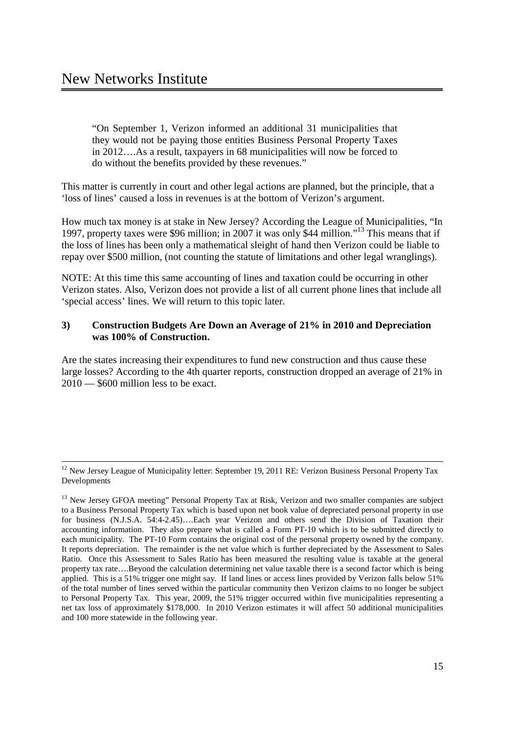"On September 1, Verizon informed an additional 31 municipalities that they would not be paying those entities Business Personal Property Taxes in 2012….As a result, taxpayers in 68 municipalities will now be forced to do without the benefits provided by these revenues."

This matter is currently in court and other legal actions are planned, but the principle, that a 'loss of lines' caused a loss in revenues is at the bottom of Verizon's argument.

How much tax money is at stake in New Jersey? According the League of Municipalities, "In 1997, property taxes were \$96 million; in 2007 it was only \$44 million."13 This means that if the loss of lines has been only a mathematical sleight of hand then Verizon could be liable to repay over \$500 million, (not counting the statute of limitations and other legal wranglings).

NOTE: At this time this same accounting of lines and taxation could be occurring in other Verizon states. Also, Verizon does not provide a list of all current phone lines that include all 'special access' lines. We will return to this topic later.

## **3) Construction Budgets Are Down an Average of 21% in 2010 and Depreciation was 100% of Construction.**

Are the states increasing their expenditures to fund new construction and thus cause these large losses? According to the 4th quarter reports, construction dropped an average of 21% in 2010 — \$600 million less to be exact.

<sup>&</sup>lt;sup>12</sup> New Jersey League of Municipality letter: September 19, 2011 RE: Verizon Business Personal Property Tax Developments

<sup>&</sup>lt;sup>13</sup> New Jersey GFOA meeting" Personal Property Tax at Risk, Verizon and two smaller companies are subject to a Business Personal Property Tax which is based upon net book value of depreciated personal property in use for business (N.J.S.A. 54:4-2.45)….Each year Verizon and others send the Division of Taxation their accounting information. They also prepare what is called a Form PT-10 which is to be submitted directly to each municipality. The PT-10 Form contains the original cost of the personal property owned by the company. It reports depreciation. The remainder is the net value which is further depreciated by the Assessment to Sales Ratio. Once this Assessment to Sales Ratio has been measured the resulting value is taxable at the general property tax rate….Beyond the calculation determining net value taxable there is a second factor which is being applied. This is a 51% trigger one might say. If land lines or access lines provided by Verizon falls below 51% of the total number of lines served within the particular community then Verizon claims to no longer be subject to Personal Property Tax. This year, 2009, the 51% trigger occurred within five municipalities representing a net tax loss of approximately \$178,000. In 2010 Verizon estimates it will affect 50 additional municipalities and 100 more statewide in the following year.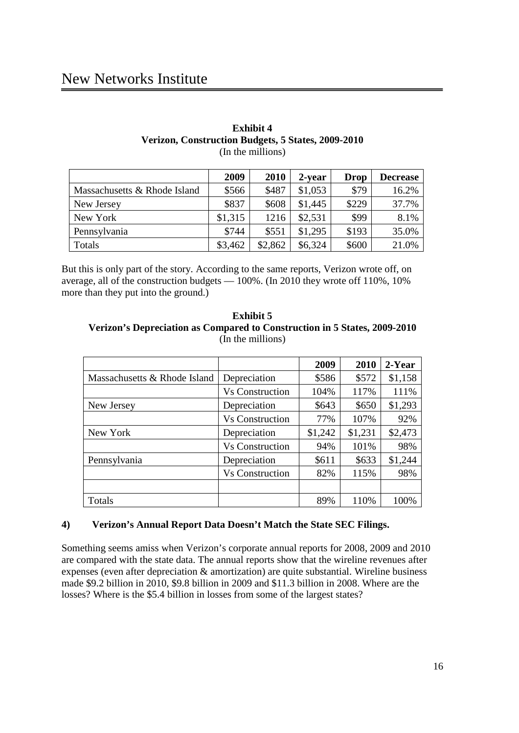# New Networks Institute

#### **Exhibit 4 Verizon, Construction Budgets, 5 States, 2009-2010** (In the millions)

|                              | 2009    | 2010    | 2-year  | <b>Drop</b> | <b>Decrease</b> |
|------------------------------|---------|---------|---------|-------------|-----------------|
| Massachusetts & Rhode Island | \$566   | \$487   | \$1,053 | \$79        | 16.2%           |
| New Jersey                   | \$837   | \$608   | \$1,445 | \$229       | 37.7%           |
| New York                     | \$1,315 | 1216    | \$2,531 | \$99        | 8.1%            |
| Pennsylvania                 | \$744   | \$551   | \$1,295 | \$193       | 35.0%           |
| Totals                       | \$3,462 | \$2,862 | \$6,324 | \$600       | 21.0%           |

But this is only part of the story. According to the same reports, Verizon wrote off, on average, all of the construction budgets — 100%. (In 2010 they wrote off 110%, 10% more than they put into the ground.)

| Exhibit 5                                                                 |
|---------------------------------------------------------------------------|
| Verizon's Depreciation as Compared to Construction in 5 States, 2009-2010 |
| (In the millions)                                                         |

|                              |                        | 2009    | 2010    | 2-Year  |
|------------------------------|------------------------|---------|---------|---------|
| Massachusetts & Rhode Island | Depreciation           | \$586   | \$572   | \$1,158 |
|                              | <b>Vs Construction</b> | 104%    | 117%    | 111%    |
| New Jersey                   | Depreciation           | \$643   | \$650   | \$1,293 |
|                              | <b>Vs Construction</b> | 77%     | 107%    | 92%     |
| New York                     | Depreciation           | \$1,242 | \$1,231 | \$2,473 |
|                              | <b>Vs Construction</b> | 94%     | 101%    | 98%     |
| Pennsylvania                 | Depreciation           | \$611   | \$633   | \$1,244 |
|                              | <b>Vs Construction</b> | 82%     | 115%    | 98%     |
|                              |                        |         |         |         |
| Totals                       |                        | 89%     | 110%    | 100%    |

## **4) Verizon's Annual Report Data Doesn't Match the State SEC Filings.**

Something seems amiss when Verizon's corporate annual reports for 2008, 2009 and 2010 are compared with the state data. The annual reports show that the wireline revenues after expenses (even after depreciation & amortization) are quite substantial. Wireline business made \$9.2 billion in 2010, \$9.8 billion in 2009 and \$11.3 billion in 2008. Where are the losses? Where is the \$5.4 billion in losses from some of the largest states?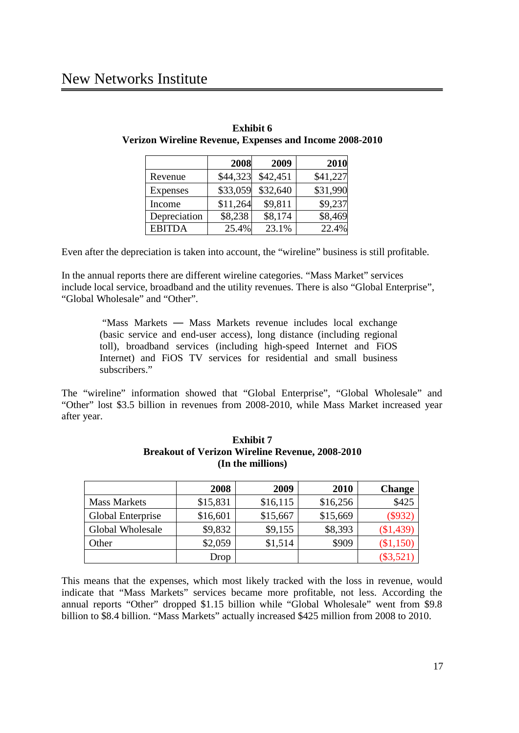## New Networks Institute

|                 | 2008     | 2009     | 2010     |
|-----------------|----------|----------|----------|
| Revenue         | \$44,323 | \$42,451 | \$41,227 |
| <b>Expenses</b> | \$33,059 | \$32,640 | \$31,990 |
| Income          | \$11,264 | \$9,811  | \$9,237  |
| Depreciation    | \$8,238  | \$8,174  | \$8,469  |
| <b>EBITDA</b>   | 25.4%    | 23.1%    | 22.4%    |

| <b>Exhibit 6</b>                                        |  |  |  |  |  |  |  |
|---------------------------------------------------------|--|--|--|--|--|--|--|
| Verizon Wireline Revenue, Expenses and Income 2008-2010 |  |  |  |  |  |  |  |

Even after the depreciation is taken into account, the "wireline" business is still profitable.

In the annual reports there are different wireline categories. "Mass Market" services include local service, broadband and the utility revenues. There is also "Global Enterprise", "Global Wholesale" and "Other".

> "Mass Markets — Mass Markets revenue includes local exchange (basic service and end-user access), long distance (including regional toll), broadband services (including high-speed Internet and FiOS Internet) and FiOS TV services for residential and small business subscribers."

The "wireline" information showed that "Global Enterprise", "Global Wholesale" and "Other" lost \$3.5 billion in revenues from 2008-2010, while Mass Market increased year after year.

|                          | 2008     | 2009     | 2010     | <b>Change</b> |
|--------------------------|----------|----------|----------|---------------|
| <b>Mass Markets</b>      | \$15,831 | \$16,115 | \$16,256 | \$425         |
| <b>Global Enterprise</b> | \$16,601 | \$15,667 | \$15,669 | $(\$932)$     |
| Global Wholesale         | \$9,832  | \$9,155  | \$8,393  | (\$1,439)     |
| Other                    | \$2,059  | \$1,514  | \$909    | (\$1,150)     |
|                          | Drop     |          |          | $(\$3,521)$   |

## **Exhibit 7 Breakout of Verizon Wireline Revenue, 2008-2010 (In the millions)**

This means that the expenses, which most likely tracked with the loss in revenue, would indicate that "Mass Markets" services became more profitable, not less. According the annual reports "Other" dropped \$1.15 billion while "Global Wholesale" went from \$9.8 billion to \$8.4 billion. "Mass Markets" actually increased \$425 million from 2008 to 2010.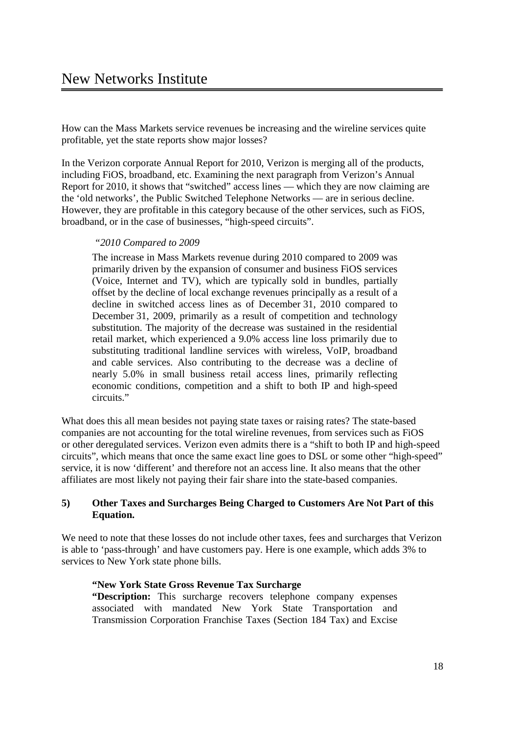How can the Mass Markets service revenues be increasing and the wireline services quite profitable, yet the state reports show major losses?

In the Verizon corporate Annual Report for 2010, Verizon is merging all of the products, including FiOS, broadband, etc. Examining the next paragraph from Verizon's Annual Report for 2010, it shows that "switched" access lines — which they are now claiming are the 'old networks', the Public Switched Telephone Networks — are in serious decline. However, they are profitable in this category because of the other services, such as FiOS, broadband, or in the case of businesses, "high-speed circuits".

#### *"2010 Compared to 2009*

The increase in Mass Markets revenue during 2010 compared to 2009 was primarily driven by the expansion of consumer and business FiOS services (Voice, Internet and TV), which are typically sold in bundles, partially offset by the decline of local exchange revenues principally as a result of a decline in switched access lines as of December 31, 2010 compared to December 31, 2009, primarily as a result of competition and technology substitution. The majority of the decrease was sustained in the residential retail market, which experienced a 9.0% access line loss primarily due to substituting traditional landline services with wireless, VoIP, broadband and cable services. Also contributing to the decrease was a decline of nearly 5.0% in small business retail access lines, primarily reflecting economic conditions, competition and a shift to both IP and high-speed circuits."

What does this all mean besides not paying state taxes or raising rates? The state-based companies are not accounting for the total wireline revenues, from services such as FiOS or other deregulated services. Verizon even admits there is a "shift to both IP and high-speed circuits", which means that once the same exact line goes to DSL or some other "high-speed" service, it is now 'different' and therefore not an access line. It also means that the other affiliates are most likely not paying their fair share into the state-based companies.

## **5) Other Taxes and Surcharges Being Charged to Customers Are Not Part of this Equation.**

We need to note that these losses do not include other taxes, fees and surcharges that Verizon is able to 'pass-through' and have customers pay. Here is one example, which adds 3% to services to New York state phone bills.

#### **"New York State Gross Revenue Tax Surcharge**

**"Description:** This surcharge recovers telephone company expenses associated with mandated New York State Transportation and Transmission Corporation Franchise Taxes (Section 184 Tax) and Excise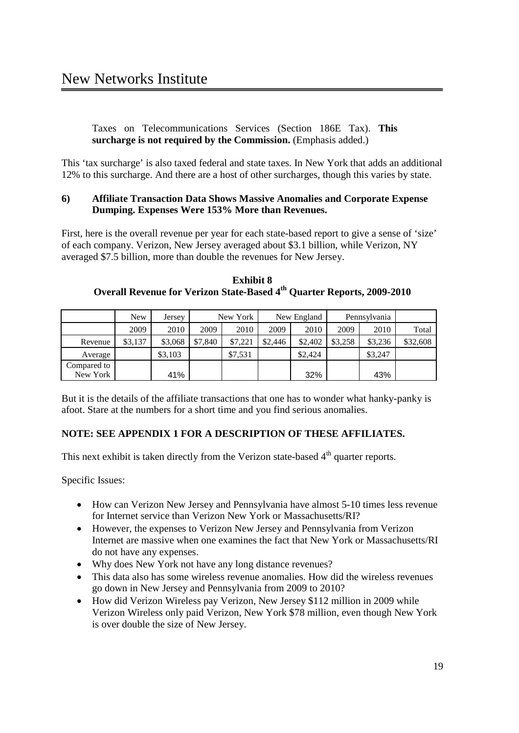Taxes on Telecommunications Services (Section 186E Tax). **This surcharge is not required by the Commission.** (Emphasis added.)

This 'tax surcharge' is also taxed federal and state taxes. In New York that adds an additional 12% to this surcharge. And there are a host of other surcharges, though this varies by state.

## **6) Affiliate Transaction Data Shows Massive Anomalies and Corporate Expense Dumping. Expenses Were 153% More than Revenues.**

First, here is the overall revenue per year for each state-based report to give a sense of 'size' of each company. Verizon, New Jersey averaged about \$3.1 billion, while Verizon, NY averaged \$7.5 billion, more than double the revenues for New Jersey.

|             | New     | Jersey  |         | New York |         | New England |         | Pennsylvania |          |
|-------------|---------|---------|---------|----------|---------|-------------|---------|--------------|----------|
|             | 2009    | 2010    | 2009    | 2010     | 2009    | 2010        | 2009    | 2010         | Total    |
| Revenue     | \$3.137 | \$3,068 | \$7,840 | \$7,221  | \$2,446 | \$2,402     | \$3,258 | \$3,236      | \$32,608 |
| Average     |         | \$3,103 |         | \$7,531  |         | \$2,424     |         | \$3,247      |          |
| Compared to |         |         |         |          |         |             |         |              |          |
| New York    |         | 41%     |         |          |         | 32%         |         | 43%          |          |

**Exhibit 8 Overall Revenue for Verizon State-Based 4th Quarter Reports, 2009-2010**

But it is the details of the affiliate transactions that one has to wonder what hanky-panky is afoot. Stare at the numbers for a short time and you find serious anomalies.

## **NOTE: SEE APPENDIX 1 FOR A DESCRIPTION OF THESE AFFILIATES.**

This next exhibit is taken directly from the Verizon state-based  $4<sup>th</sup>$  quarter reports.

Specific Issues:

- · How can Verizon New Jersey and Pennsylvania have almost 5-10 times less revenue for Internet service than Verizon New York or Massachusetts/RI?
- · However, the expenses to Verizon New Jersey and Pennsylvania from Verizon Internet are massive when one examines the fact that New York or Massachusetts/RI do not have any expenses.
- · Why does New York not have any long distance revenues?
- · This data also has some wireless revenue anomalies. How did the wireless revenues go down in New Jersey and Pennsylvania from 2009 to 2010?
- How did Verizon Wireless pay Verizon, New Jersey \$112 million in 2009 while Verizon Wireless only paid Verizon, New York \$78 million, even though New York is over double the size of New Jersey.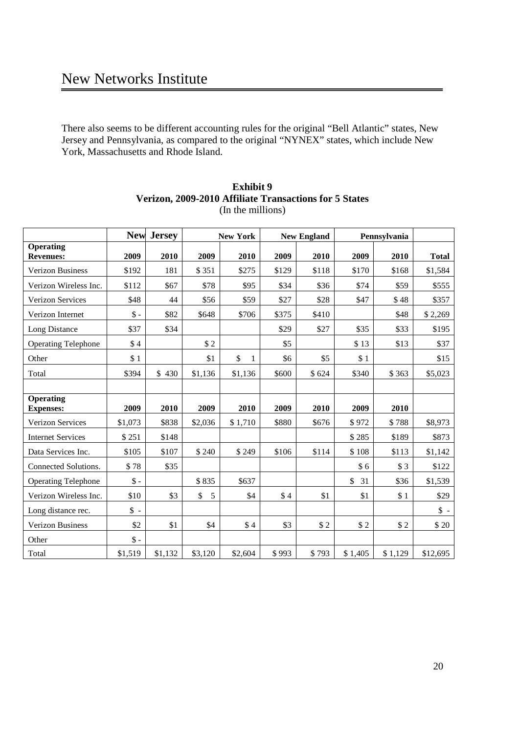There also seems to be different accounting rules for the original "Bell Atlantic" states, New Jersey and Pennsylvania, as compared to the original "NYNEX" states, which include New York, Massachusetts and Rhode Island.

|                                      | <b>New</b>      | <b>Jersey</b> | <b>New York</b> |         |       | <b>New England</b> |          | Pennsylvania |              |
|--------------------------------------|-----------------|---------------|-----------------|---------|-------|--------------------|----------|--------------|--------------|
| <b>Operating</b><br><b>Revenues:</b> | 2009            | 2010          | 2009            | 2010    | 2009  | 2010               | 2009     | 2010         | <b>Total</b> |
| <b>Verizon Business</b>              | \$192           | 181           | \$351           | \$275   | \$129 | \$118              | \$170    | \$168        | \$1,584      |
| Verizon Wireless Inc.                | \$112           | \$67          | \$78            | \$95    | \$34  | \$36               | \$74     | \$59         | \$555        |
| <b>Verizon Services</b>              | \$48            | 44            | \$56            | \$59    | \$27  | \$28               | \$47     | \$48         | \$357        |
| Verizon Internet                     | $\$ -           | \$82          | \$648           | \$706   | \$375 | \$410              |          | \$48         | \$2,269      |
| Long Distance                        | \$37            | \$34          |                 |         | \$29  | \$27               | \$35     | \$33         | \$195        |
| <b>Operating Telephone</b>           | \$4             |               | \$2             |         | \$5   |                    | \$13     | \$13         | \$37         |
| Other                                | \$1             |               | \$1             | \$<br>1 | \$6   | \$5                | \$1      |              | \$15         |
| Total                                | \$394           | \$430         | \$1,136         | \$1,136 | \$600 | \$624              | \$340    | \$363        | \$5,023      |
|                                      |                 |               |                 |         |       |                    |          |              |              |
| <b>Operating</b><br><b>Expenses:</b> | 2009            | 2010          | 2009            | 2010    | 2009  | 2010               | 2009     | 2010         |              |
| Verizon Services                     | \$1,073         | \$838         | \$2,036         | \$1,710 | \$880 | \$676              | \$972    | \$788        | \$8,973      |
| <b>Internet Services</b>             | \$251           | \$148         |                 |         |       |                    | \$285    | \$189        | \$873        |
| Data Services Inc.                   | \$105           | \$107         | \$240           | \$249   | \$106 | \$114              | \$108    | \$113        | \$1,142      |
| Connected Solutions.                 | \$78            | \$35          |                 |         |       |                    | \$6      | \$3          | \$122        |
| <b>Operating Telephone</b>           | $\$ -           |               | \$835           | \$637   |       |                    | \$<br>31 | \$36         | \$1,539      |
| Verizon Wireless Inc.                | \$10            | \$3           | \$<br>5         | \$4     | \$4   | \$1                | \$1      | \$1          | \$29         |
| Long distance rec.                   | $\frac{1}{2}$ - |               |                 |         |       |                    |          |              | $\uparrow$ - |
| <b>Verizon Business</b>              | \$2             | \$1           | \$4             | \$4     | \$3   | \$2                | \$2      | \$2          | \$20         |
| Other                                | $\$ -           |               |                 |         |       |                    |          |              |              |
| Total                                | \$1,519         | \$1,132       | \$3,120         | \$2,604 | \$993 | \$793              | \$1,405  | \$1,129      | \$12,695     |

## **Exhibit 9 Verizon, 2009-2010 Affiliate Transactions for 5 States** (In the millions)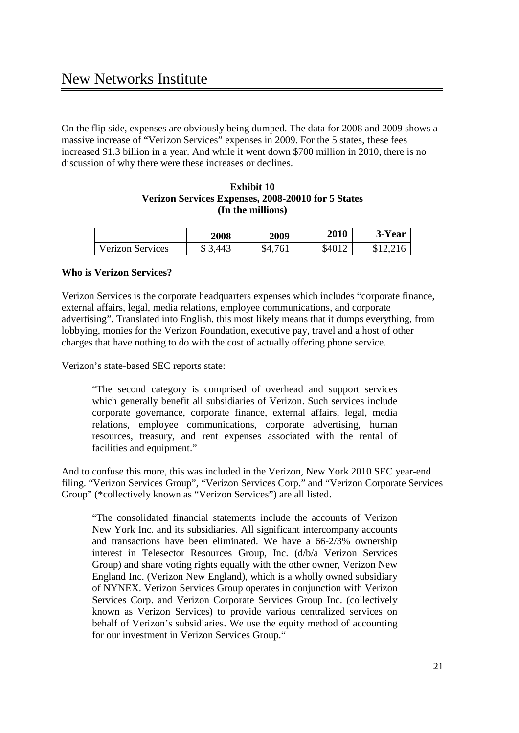On the flip side, expenses are obviously being dumped. The data for 2008 and 2009 shows a massive increase of "Verizon Services" expenses in 2009. For the 5 states, these fees increased \$1.3 billion in a year. And while it went down \$700 million in 2010, there is no discussion of why there were these increases or declines.

## **Exhibit 10 Verizon Services Expenses, 2008-20010 for 5 States (In the millions)**

|                         | 2008 | 2009         | 2010   | 3-Year   |
|-------------------------|------|--------------|--------|----------|
| <b>Verizon Services</b> | .443 | 761<br>\$4.7 | \$4012 | \$12.216 |

## **Who is Verizon Services?**

Verizon Services is the corporate headquarters expenses which includes "corporate finance, external affairs, legal, media relations, employee communications, and corporate advertising". Translated into English, this most likely means that it dumps everything, from lobbying, monies for the Verizon Foundation, executive pay, travel and a host of other charges that have nothing to do with the cost of actually offering phone service.

Verizon's state-based SEC reports state:

"The second category is comprised of overhead and support services which generally benefit all subsidiaries of Verizon. Such services include corporate governance, corporate finance, external affairs, legal, media relations, employee communications, corporate advertising, human resources, treasury, and rent expenses associated with the rental of facilities and equipment."

And to confuse this more, this was included in the Verizon, New York 2010 SEC year-end filing. "Verizon Services Group", "Verizon Services Corp." and "Verizon Corporate Services Group" (\*collectively known as "Verizon Services") are all listed.

"The consolidated financial statements include the accounts of Verizon New York Inc. and its subsidiaries. All significant intercompany accounts and transactions have been eliminated. We have a 66-2/3% ownership interest in Telesector Resources Group, Inc. (d/b/a Verizon Services Group) and share voting rights equally with the other owner, Verizon New England Inc. (Verizon New England), which is a wholly owned subsidiary of NYNEX. Verizon Services Group operates in conjunction with Verizon Services Corp. and Verizon Corporate Services Group Inc. (collectively known as Verizon Services) to provide various centralized services on behalf of Verizon's subsidiaries. We use the equity method of accounting for our investment in Verizon Services Group."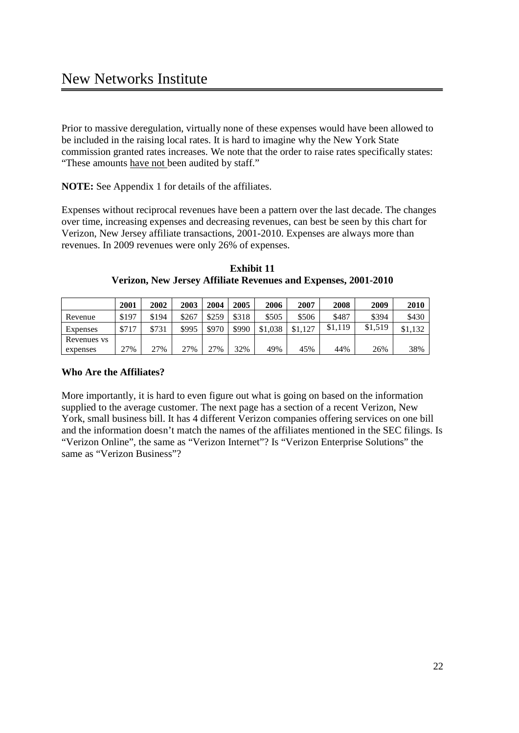Prior to massive deregulation, virtually none of these expenses would have been allowed to be included in the raising local rates. It is hard to imagine why the New York State commission granted rates increases. We note that the order to raise rates specifically states: "These amounts have not been audited by staff."

**NOTE:** See Appendix 1 for details of the affiliates.

Expenses without reciprocal revenues have been a pattern over the last decade. The changes over time, increasing expenses and decreasing revenues, can best be seen by this chart for Verizon, New Jersey affiliate transactions, 2001-2010. Expenses are always more than revenues. In 2009 revenues were only 26% of expenses.

**Exhibit 11 Verizon, New Jersey Affiliate Revenues and Expenses, 2001-2010**

|             | 2001  | 2002  | <b>2003</b> | 2004  | 2005  | 2006    | 2007        | 2008    | 2009    | 2010    |
|-------------|-------|-------|-------------|-------|-------|---------|-------------|---------|---------|---------|
| Revenue     | \$197 | \$194 | \$267       | \$259 | \$318 | \$505   | \$506       | \$487   | \$394   | \$430   |
| Expenses    | \$717 | \$731 | \$995       | \$970 | \$990 | \$1,038 | .127<br>\$1 | \$1,119 | \$1.519 | \$1.132 |
| Revenues vs |       |       |             |       |       |         |             |         |         |         |
| expenses    | 27%   | 27%   | 27%         | 27%   | 32%   | 49%     | 45%         | 44%     | 26%     | 38%     |

## **Who Are the Affiliates?**

More importantly, it is hard to even figure out what is going on based on the information supplied to the average customer. The next page has a section of a recent Verizon, New York, small business bill. It has 4 different Verizon companies offering services on one bill and the information doesn't match the names of the affiliates mentioned in the SEC filings. Is "Verizon Online", the same as "Verizon Internet"? Is "Verizon Enterprise Solutions" the same as "Verizon Business"?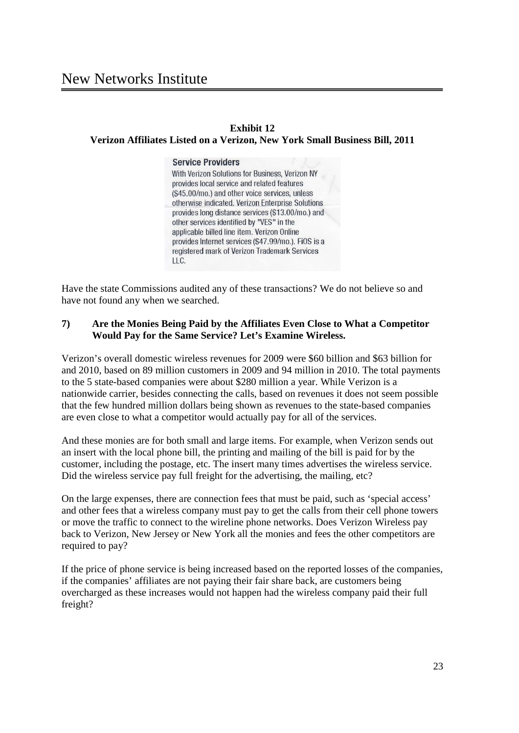#### **Exhibit 12**

#### **Verizon Affiliates Listed on a Verizon, New York Small Business Bill, 2011**

#### **Service Providers**

With Verizon Solutions for Business, Verizon NY provides local service and related features (\$45,00/mo.) and other voice services, unless otherwise indicated. Verizon Enterprise Solutions provides long distance services (\$13.00/mo.) and other services identified by "VES" in the applicable billed line item. Verizon Online provides Internet services (\$47.99/mo.). FiOS is a registered mark of Verizon Trademark Services  $\sqcup$  C.

Have the state Commissions audited any of these transactions? We do not believe so and have not found any when we searched.

## **7) Are the Monies Being Paid by the Affiliates Even Close to What a Competitor Would Pay for the Same Service? Let's Examine Wireless.**

Verizon's overall domestic wireless revenues for 2009 were \$60 billion and \$63 billion for and 2010, based on 89 million customers in 2009 and 94 million in 2010. The total payments to the 5 state-based companies were about \$280 million a year. While Verizon is a nationwide carrier, besides connecting the calls, based on revenues it does not seem possible that the few hundred million dollars being shown as revenues to the state-based companies are even close to what a competitor would actually pay for all of the services.

And these monies are for both small and large items. For example, when Verizon sends out an insert with the local phone bill, the printing and mailing of the bill is paid for by the customer, including the postage, etc. The insert many times advertises the wireless service. Did the wireless service pay full freight for the advertising, the mailing, etc?

On the large expenses, there are connection fees that must be paid, such as 'special access' and other fees that a wireless company must pay to get the calls from their cell phone towers or move the traffic to connect to the wireline phone networks. Does Verizon Wireless pay back to Verizon, New Jersey or New York all the monies and fees the other competitors are required to pay?

If the price of phone service is being increased based on the reported losses of the companies, if the companies' affiliates are not paying their fair share back, are customers being overcharged as these increases would not happen had the wireless company paid their full freight?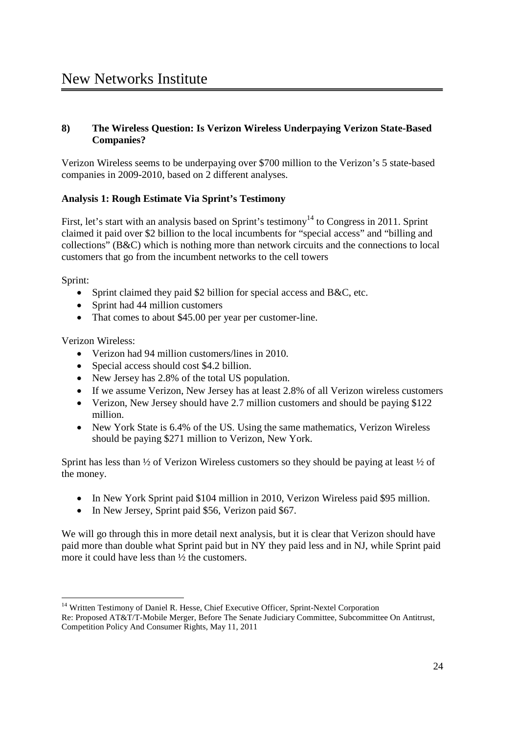## **8) The Wireless Question: Is Verizon Wireless Underpaying Verizon State-Based Companies?**

Verizon Wireless seems to be underpaying over \$700 million to the Verizon's 5 state-based companies in 2009-2010, based on 2 different analyses.

## **Analysis 1: Rough Estimate Via Sprint's Testimony**

First, let's start with an analysis based on Sprint's testimony<sup>14</sup> to Congress in 2011. Sprint claimed it paid over \$2 billion to the local incumbents for "special access" and "billing and collections" (B&C) which is nothing more than network circuits and the connections to local customers that go from the incumbent networks to the cell towers

Sprint:

- Sprint claimed they paid \$2 billion for special access and B&C, etc.
- Sprint had 44 million customers
- That comes to about \$45.00 per year per customer-line.

Verizon Wireless:

- · Verizon had 94 million customers/lines in 2010.
- Special access should cost \$4.2 billion.
- New Jersey has 2.8% of the total US population.
- · If we assume Verizon, New Jersey has at least 2.8% of all Verizon wireless customers
- Verizon, New Jersey should have 2.7 million customers and should be paying \$122 million.
- New York State is 6.4% of the US. Using the same mathematics, Verizon Wireless should be paying \$271 million to Verizon, New York.

Sprint has less than  $\frac{1}{2}$  of Verizon Wireless customers so they should be paying at least  $\frac{1}{2}$  of the money.

- In New York Sprint paid \$104 million in 2010, Verizon Wireless paid \$95 million.
- In New Jersey, Sprint paid \$56, Verizon paid \$67.

We will go through this in more detail next analysis, but it is clear that Verizon should have paid more than double what Sprint paid but in NY they paid less and in NJ, while Sprint paid more it could have less than ½ the customers.

<sup>&</sup>lt;sup>14</sup> Written Testimony of Daniel R. Hesse, Chief Executive Officer, Sprint-Nextel Corporation Re: Proposed AT&T/T-Mobile Merger, Before The Senate Judiciary Committee, Subcommittee On Antitrust, Competition Policy And Consumer Rights, May 11, 2011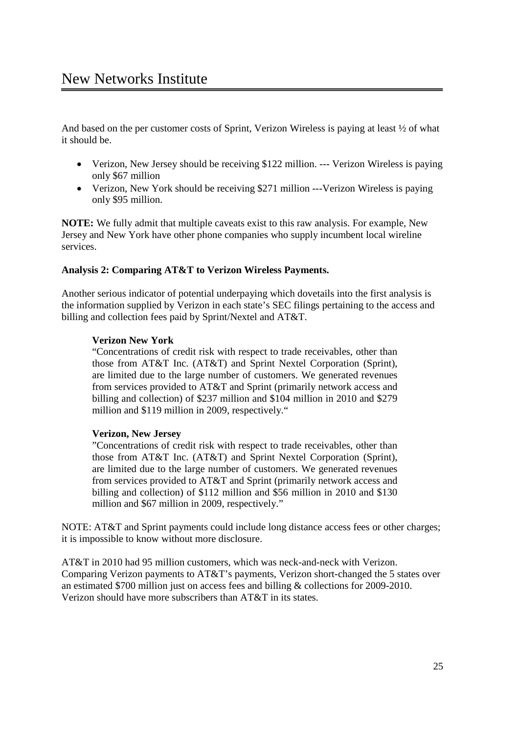And based on the per customer costs of Sprint, Verizon Wireless is paying at least ½ of what it should be.

- Verizon, New Jersey should be receiving \$122 million. --- Verizon Wireless is paying only \$67 million
- Verizon, New York should be receiving \$271 million --- Verizon Wireless is paying only \$95 million.

**NOTE:** We fully admit that multiple caveats exist to this raw analysis. For example, New Jersey and New York have other phone companies who supply incumbent local wireline services.

## **Analysis 2: Comparing AT&T to Verizon Wireless Payments.**

Another serious indicator of potential underpaying which dovetails into the first analysis is the information supplied by Verizon in each state's SEC filings pertaining to the access and billing and collection fees paid by Sprint/Nextel and AT&T.

#### **Verizon New York**

"Concentrations of credit risk with respect to trade receivables, other than those from AT&T Inc. (AT&T) and Sprint Nextel Corporation (Sprint), are limited due to the large number of customers. We generated revenues from services provided to AT&T and Sprint (primarily network access and billing and collection) of \$237 million and \$104 million in 2010 and \$279 million and \$119 million in 2009, respectively."

#### **Verizon, New Jersey**

"Concentrations of credit risk with respect to trade receivables, other than those from AT&T Inc. (AT&T) and Sprint Nextel Corporation (Sprint), are limited due to the large number of customers. We generated revenues from services provided to AT&T and Sprint (primarily network access and billing and collection) of \$112 million and \$56 million in 2010 and \$130 million and \$67 million in 2009, respectively."

NOTE: AT&T and Sprint payments could include long distance access fees or other charges; it is impossible to know without more disclosure.

AT&T in 2010 had 95 million customers, which was neck-and-neck with Verizon. Comparing Verizon payments to AT&T's payments, Verizon short-changed the 5 states over an estimated \$700 million just on access fees and billing & collections for 2009-2010. Verizon should have more subscribers than AT&T in its states.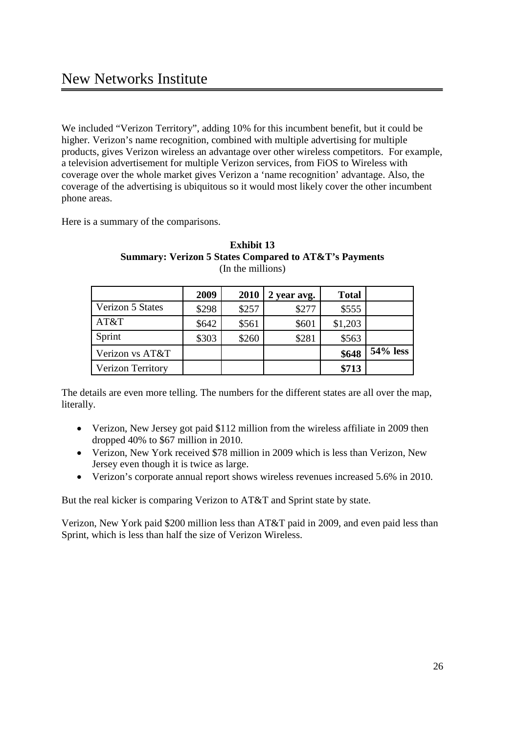We included "Verizon Territory", adding 10% for this incumbent benefit, but it could be higher. Verizon's name recognition, combined with multiple advertising for multiple products, gives Verizon wireless an advantage over other wireless competitors. For example, a television advertisement for multiple Verizon services, from FiOS to Wireless with coverage over the whole market gives Verizon a 'name recognition' advantage. Also, the coverage of the advertising is ubiquitous so it would most likely cover the other incumbent phone areas.

Here is a summary of the comparisons.

|                          | 2009  | 2010  | 2 year avg. | <b>Total</b> |          |
|--------------------------|-------|-------|-------------|--------------|----------|
| Verizon 5 States         | \$298 | \$257 | \$277       | \$555        |          |
| AT&T                     | \$642 | \$561 | \$601       | \$1,203      |          |
| Sprint                   | \$303 | \$260 | \$281       | \$563        |          |
| Verizon vs AT&T          |       |       |             | \$648        | 54% less |
| <b>Verizon Territory</b> |       |       |             | \$713        |          |

#### **Exhibit 13 Summary: Verizon 5 States Compared to AT&T's Payments** (In the millions)

The details are even more telling. The numbers for the different states are all over the map, literally.

- Verizon, New Jersey got paid \$112 million from the wireless affiliate in 2009 then dropped 40% to \$67 million in 2010.
- · Verizon, New York received \$78 million in 2009 which is less than Verizon, New Jersey even though it is twice as large.
- · Verizon's corporate annual report shows wireless revenues increased 5.6% in 2010.

But the real kicker is comparing Verizon to AT&T and Sprint state by state.

Verizon, New York paid \$200 million less than AT&T paid in 2009, and even paid less than Sprint, which is less than half the size of Verizon Wireless.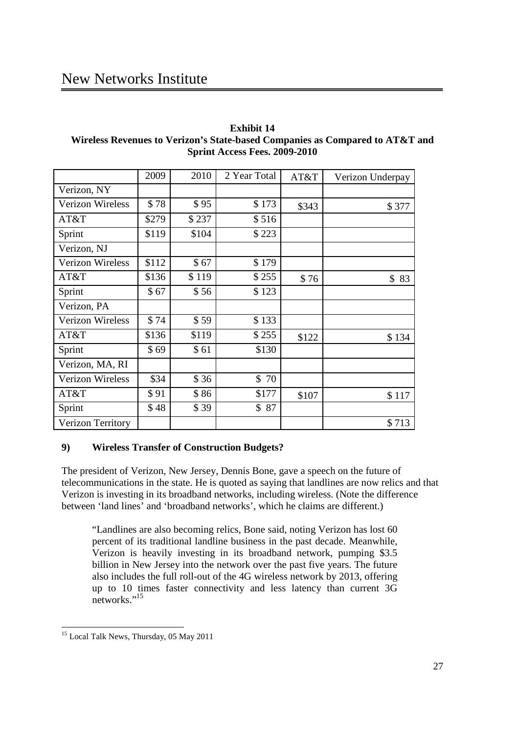# New Networks Institute

| <b>Exhibit 14</b>                                                            |
|------------------------------------------------------------------------------|
| Wireless Revenues to Verizon's State-based Companies as Compared to AT&T and |
| <b>Sprint Access Fees. 2009-2010</b>                                         |

|                         | 2009  | 2010  | 2 Year Total | AT&T  | Verizon Underpay |
|-------------------------|-------|-------|--------------|-------|------------------|
| Verizon, NY             |       |       |              |       |                  |
| Verizon Wireless        | \$78  | \$95  | \$173        | \$343 | \$377            |
| AT&T                    | \$279 | \$237 | \$516        |       |                  |
| Sprint                  | \$119 | \$104 | \$223        |       |                  |
| Verizon, NJ             |       |       |              |       |                  |
| Verizon Wireless        | \$112 | \$67  | \$179        |       |                  |
| AT&T                    | \$136 | \$119 | \$255        | \$76  | \$83             |
| Sprint                  | \$67  | \$56  | \$123        |       |                  |
| Verizon, PA             |       |       |              |       |                  |
| Verizon Wireless        | \$74  | \$59  | \$133        |       |                  |
| AT&T                    | \$136 | \$119 | \$255        | \$122 | \$134            |
| Sprint                  | \$69  | \$61  | \$130        |       |                  |
| Verizon, MA, RI         |       |       |              |       |                  |
| <b>Verizon Wireless</b> | \$34  | \$36  | 70<br>\$     |       |                  |
| AT&T                    | \$91  | \$86  | \$177        | \$107 | \$117            |
| Sprint                  | \$48  | \$39  | \$87         |       |                  |
| Verizon Territory       |       |       |              |       | \$713            |

## **9) Wireless Transfer of Construction Budgets?**

The president of Verizon, New Jersey, Dennis Bone, gave a speech on the future of telecommunications in the state. He is quoted as saying that landlines are now relics and that Verizon is investing in its broadband networks, including wireless. (Note the difference between 'land lines' and 'broadband networks', which he claims are different.)

"Landlines are also becoming relics, Bone said, noting Verizon has lost 60 percent of its traditional landline business in the past decade. Meanwhile, Verizon is heavily investing in its broadband network, pumping \$3.5 billion in New Jersey into the network over the past five years. The future also includes the full roll-out of the 4G wireless network by 2013, offering up to 10 times faster connectivity and less latency than current 3G networks."<sup>15</sup>

<sup>&</sup>lt;sup>15</sup> Local Talk News, Thursday, 05 May 2011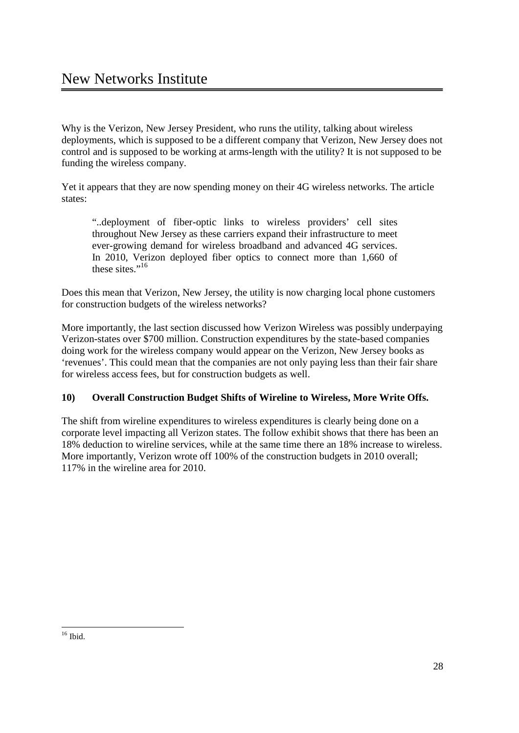Why is the Verizon, New Jersey President, who runs the utility, talking about wireless deployments, which is supposed to be a different company that Verizon, New Jersey does not control and is supposed to be working at arms-length with the utility? It is not supposed to be funding the wireless company.

Yet it appears that they are now spending money on their 4G wireless networks. The article states:

"..deployment of fiber-optic links to wireless providers' cell sites throughout New Jersey as these carriers expand their infrastructure to meet ever-growing demand for wireless broadband and advanced 4G services. In 2010, Verizon deployed fiber optics to connect more than 1,660 of these sites."<sup>16</sup>

Does this mean that Verizon, New Jersey, the utility is now charging local phone customers for construction budgets of the wireless networks?

More importantly, the last section discussed how Verizon Wireless was possibly underpaying Verizon-states over \$700 million. Construction expenditures by the state-based companies doing work for the wireless company would appear on the Verizon, New Jersey books as 'revenues'. This could mean that the companies are not only paying less than their fair share for wireless access fees, but for construction budgets as well.

## **10) Overall Construction Budget Shifts of Wireline to Wireless, More Write Offs.**

The shift from wireline expenditures to wireless expenditures is clearly being done on a corporate level impacting all Verizon states. The follow exhibit shows that there has been an 18% deduction to wireline services, while at the same time there an 18% increase to wireless. More importantly, Verizon wrote off 100% of the construction budgets in 2010 overall; 117% in the wireline area for 2010.

 $16$  Ibid.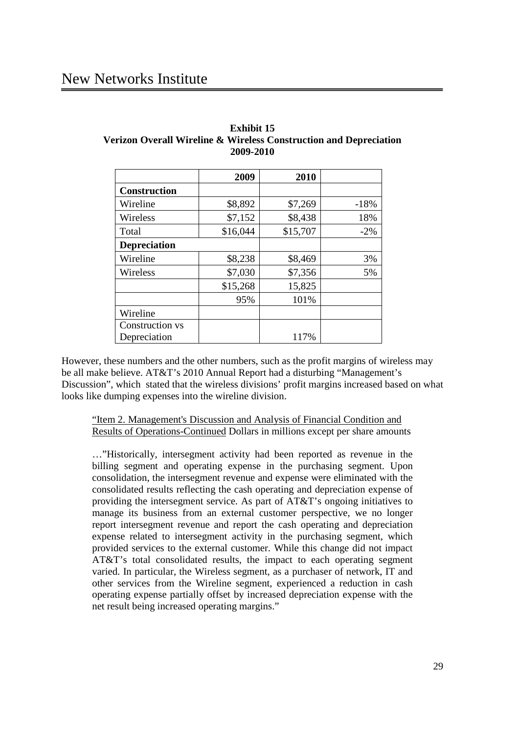## New Networks Institute

|                     | 2009     | 2010     |        |
|---------------------|----------|----------|--------|
| <b>Construction</b> |          |          |        |
| Wireline            | \$8,892  | \$7,269  | $-18%$ |
| Wireless            | \$7,152  | \$8,438  | 18%    |
| Total               | \$16,044 | \$15,707 | $-2\%$ |
| <b>Depreciation</b> |          |          |        |
| Wireline            | \$8,238  | \$8,469  | 3%     |
| Wireless            | \$7,030  | \$7,356  | 5%     |
|                     | \$15,268 | 15,825   |        |
|                     | 95%      | 101%     |        |
| Wireline            |          |          |        |
| Construction vs     |          |          |        |
| Depreciation        |          | 117%     |        |

## **Exhibit 15 Verizon Overall Wireline & Wireless Construction and Depreciation 2009-2010**

However, these numbers and the other numbers, such as the profit margins of wireless may be all make believe. AT&T's 2010 Annual Report had a disturbing "Management's Discussion", which stated that the wireless divisions' profit margins increased based on what looks like dumping expenses into the wireline division.

"Item 2. Management's Discussion and Analysis of Financial Condition and Results of Operations-Continued Dollars in millions except per share amounts

…"Historically, intersegment activity had been reported as revenue in the billing segment and operating expense in the purchasing segment. Upon consolidation, the intersegment revenue and expense were eliminated with the consolidated results reflecting the cash operating and depreciation expense of providing the intersegment service. As part of AT&T's ongoing initiatives to manage its business from an external customer perspective, we no longer report intersegment revenue and report the cash operating and depreciation expense related to intersegment activity in the purchasing segment, which provided services to the external customer. While this change did not impact AT&T's total consolidated results, the impact to each operating segment varied. In particular, the Wireless segment, as a purchaser of network, IT and other services from the Wireline segment, experienced a reduction in cash operating expense partially offset by increased depreciation expense with the net result being increased operating margins."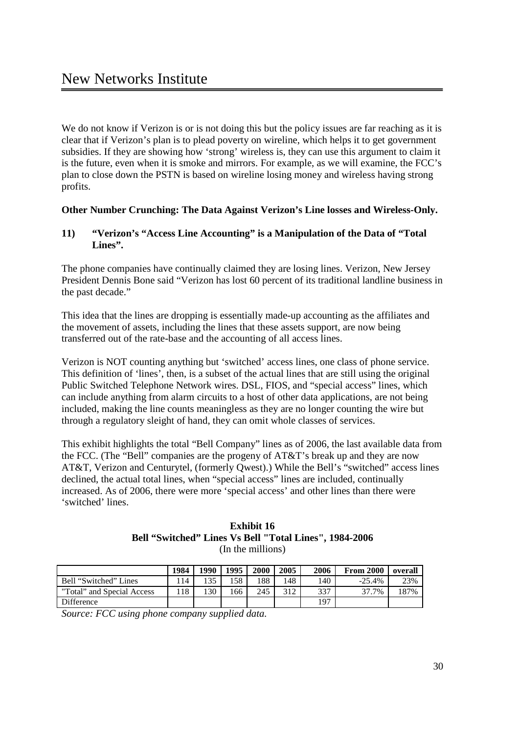We do not know if Verizon is or is not doing this but the policy issues are far reaching as it is clear that if Verizon's plan is to plead poverty on wireline, which helps it to get government subsidies. If they are showing how 'strong' wireless is, they can use this argument to claim it is the future, even when it is smoke and mirrors. For example, as we will examine, the FCC's plan to close down the PSTN is based on wireline losing money and wireless having strong profits.

## **Other Number Crunching: The Data Against Verizon's Line losses and Wireless-Only.**

## **11) "Verizon's "Access Line Accounting" is a Manipulation of the Data of "Total Lines".**

The phone companies have continually claimed they are losing lines. Verizon, New Jersey President Dennis Bone said "Verizon has lost 60 percent of its traditional landline business in the past decade."

This idea that the lines are dropping is essentially made-up accounting as the affiliates and the movement of assets, including the lines that these assets support, are now being transferred out of the rate-base and the accounting of all access lines.

Verizon is NOT counting anything but 'switched' access lines, one class of phone service. This definition of 'lines', then, is a subset of the actual lines that are still using the original Public Switched Telephone Network wires. DSL, FIOS, and "special access" lines, which can include anything from alarm circuits to a host of other data applications, are not being included, making the line counts meaningless as they are no longer counting the wire but through a regulatory sleight of hand, they can omit whole classes of services.

This exhibit highlights the total "Bell Company" lines as of 2006, the last available data from the FCC. (The "Bell" companies are the progeny of AT&T's break up and they are now AT&T, Verizon and Centurytel, (formerly Qwest).) While the Bell's "switched" access lines declined, the actual total lines, when "special access" lines are included, continually increased. As of 2006, there were more 'special access' and other lines than there were 'switched' lines.

#### **Exhibit 16 Bell "Switched" Lines Vs Bell "Total Lines", 1984-2006** (In the millions)

|                            | 1984 | 1990 | 1995 | 2000 | 2005 | 2006 | <b>From 2000</b> | overall |
|----------------------------|------|------|------|------|------|------|------------------|---------|
| Bell "Switched" Lines      | 14   |      | 58   | .88  | 148  | 140  | $-25.4%$         | 23%     |
| "Total" and Special Access | 18   | .30  | 166  | 245  | 312  | 337  | 37.7%            | 187%    |
| <b>Difference</b>          |      |      |      |      |      | 197  |                  |         |

*Source: FCC using phone company supplied data.*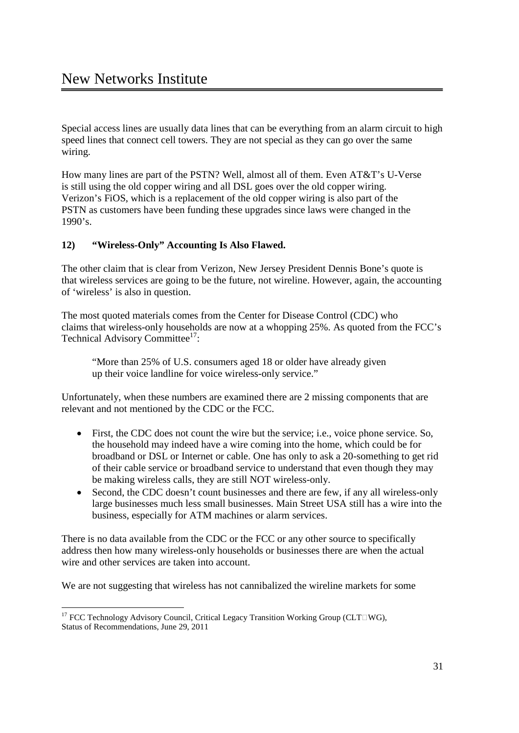Special access lines are usually data lines that can be everything from an alarm circuit to high speed lines that connect cell towers. They are not special as they can go over the same wiring.

How many lines are part of the PSTN? Well, almost all of them. Even AT&T's U-Verse is still using the old copper wiring and all DSL goes over the old copper wiring. Verizon's FiOS, which is a replacement of the old copper wiring is also part of the PSTN as customers have been funding these upgrades since laws were changed in the 1990's.

## **12) "Wireless-Only" Accounting Is Also Flawed.**

The other claim that is clear from Verizon, New Jersey President Dennis Bone's quote is that wireless services are going to be the future, not wireline. However, again, the accounting of 'wireless' is also in question.

The most quoted materials comes from the Center for Disease Control (CDC) who claims that wireless-only households are now at a whopping 25%. As quoted from the FCC's Technical Advisory Committee<sup>17</sup>:

"More than 25% of U.S. consumers aged 18 or older have already given up their voice landline for voice wireless-only service."

Unfortunately, when these numbers are examined there are 2 missing components that are relevant and not mentioned by the CDC or the FCC.

- First, the CDC does not count the wire but the service; i.e., voice phone service. So, the household may indeed have a wire coming into the home, which could be for broadband or DSL or Internet or cable. One has only to ask a 20-something to get rid of their cable service or broadband service to understand that even though they may be making wireless calls, they are still NOT wireless-only.
- Second, the CDC doesn't count businesses and there are few, if any all wireless-only large businesses much less small businesses. Main Street USA still has a wire into the business, especially for ATM machines or alarm services.

There is no data available from the CDC or the FCC or any other source to specifically address then how many wireless-only households or businesses there are when the actual wire and other services are taken into account.

We are not suggesting that wireless has not cannibalized the wireline markets for some

<sup>&</sup>lt;sup>17</sup> FCC Technology Advisory Council, Critical Legacy Transition Working Group (CLT $\Box$ WG), Status of Recommendations, June 29, 2011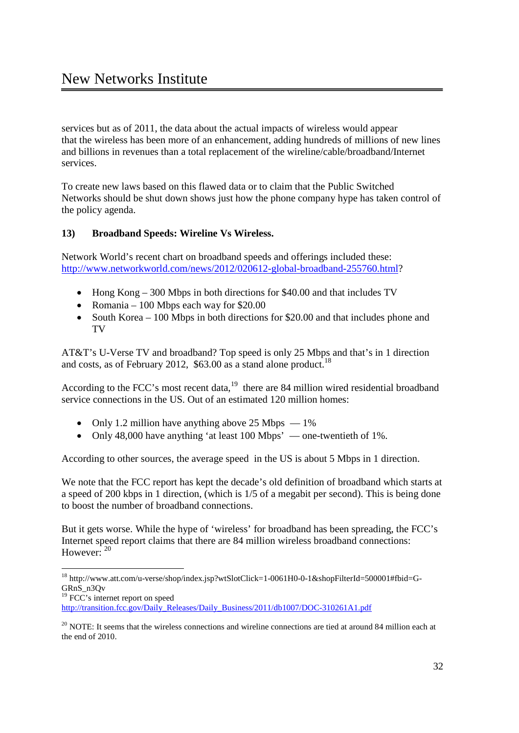services but as of 2011, the data about the actual impacts of wireless would appear that the wireless has been more of an enhancement, adding hundreds of millions of new lines and billions in revenues than a total replacement of the wireline/cable/broadband/Internet services.

To create new laws based on this flawed data or to claim that the Public Switched Networks should be shut down shows just how the phone company hype has taken control of the policy agenda.

## **13) Broadband Speeds: Wireline Vs Wireless.**

Network World's recent chart on broadband speeds and offerings included these: http://www.networkworld.com/news/2012/020612-global-broadband-255760.html?

- Hong Kong 300 Mbps in both directions for \$40.00 and that includes TV
- Romania 100 Mbps each way for  $$20.00$
- South Korea 100 Mbps in both directions for \$20.00 and that includes phone and TV

AT&T's U-Verse TV and broadband? Top speed is only 25 Mbps and that's in 1 direction and costs, as of February 2012, \$63.00 as a stand alone product.<sup>18</sup>

According to the FCC's most recent data, $19$  there are 84 million wired residential broadband service connections in the US. Out of an estimated 120 million homes:

- Only 1.2 million have anything above 25 Mbps  $-1\%$
- Only 48,000 have anything 'at least 100 Mbps' one-twentieth of 1%.

According to other sources, the average speed in the US is about 5 Mbps in 1 direction.

We note that the FCC report has kept the decade's old definition of broadband which starts at a speed of 200 kbps in 1 direction, (which is 1/5 of a megabit per second). This is being done to boost the number of broadband connections.

But it gets worse. While the hype of 'wireless' for broadband has been spreading, the FCC's Internet speed report claims that there are 84 million wireless broadband connections: However:  $20$ 

 <sup>18</sup> http://www.att.com/u-verse/shop/index.jsp?wtSlotClick=1-0061H0-0-1&shopFilterId=500001#fbid=G-GRnS n3Ov

<sup>&</sup>lt;sup>19</sup> FCC's internet report on speed

http://transition.fcc.gov/Daily\_Releases/Daily\_Business/2011/db1007/DOC-310261A1.pdf

<sup>&</sup>lt;sup>20</sup> NOTE: It seems that the wireless connections and wireline connections are tied at around 84 million each at the end of 2010.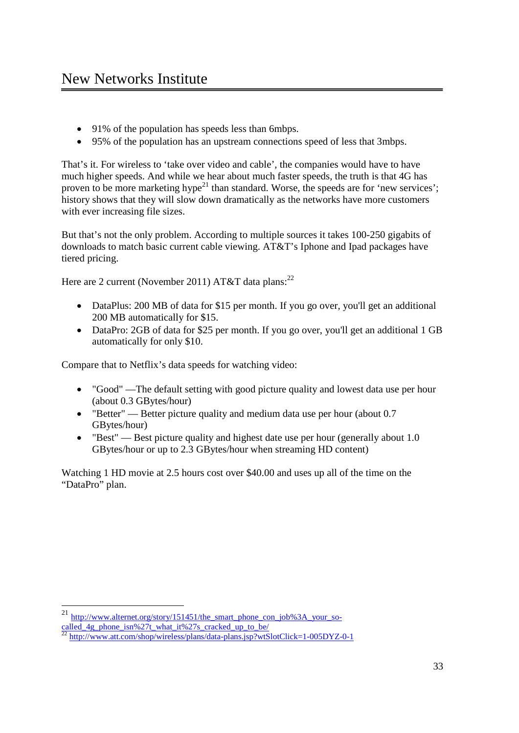- · 91% of the population has speeds less than 6mbps.
- · 95% of the population has an upstream connections speed of less that 3mbps.

That's it. For wireless to 'take over video and cable', the companies would have to have much higher speeds. And while we hear about much faster speeds, the truth is that 4G has proven to be more marketing hype<sup>21</sup> than standard. Worse, the speeds are for 'new services'; history shows that they will slow down dramatically as the networks have more customers with ever increasing file sizes.

But that's not the only problem. According to multiple sources it takes 100-250 gigabits of downloads to match basic current cable viewing. AT&T's Iphone and Ipad packages have tiered pricing.

Here are 2 current (November 2011) AT&T data plans:  $2^{22}$ 

- DataPlus: 200 MB of data for \$15 per month. If you go over, you'll get an additional 200 MB automatically for \$15.
- DataPro: 2GB of data for \$25 per month. If you go over, you'll get an additional 1 GB automatically for only \$10.

Compare that to Netflix's data speeds for watching video:

- · "Good" —The default setting with good picture quality and lowest data use per hour (about 0.3 GBytes/hour)
- "Better" Better picture quality and medium data use per hour (about 0.7) GBytes/hour)
- "Best" Best picture quality and highest date use per hour (generally about 1.0) GBytes/hour or up to 2.3 GBytes/hour when streaming HD content)

Watching 1 HD movie at 2.5 hours cost over \$40.00 and uses up all of the time on the "DataPro" plan.

<sup>&</sup>lt;sup>21</sup> http://www.alternet.org/story/151451/the\_smart\_phone\_con\_job%3A\_your\_socalled 4g\_phone\_isn%27t\_what\_it%27s\_cracked\_up\_to\_be/<br> $\frac{22 \text{ km/s}}{22 \text{ km/s}}$ 

<sup>22</sup> http://www.att.com/shop/wireless/plans/data-plans.jsp?wtSlotClick=1-005DYZ-0-1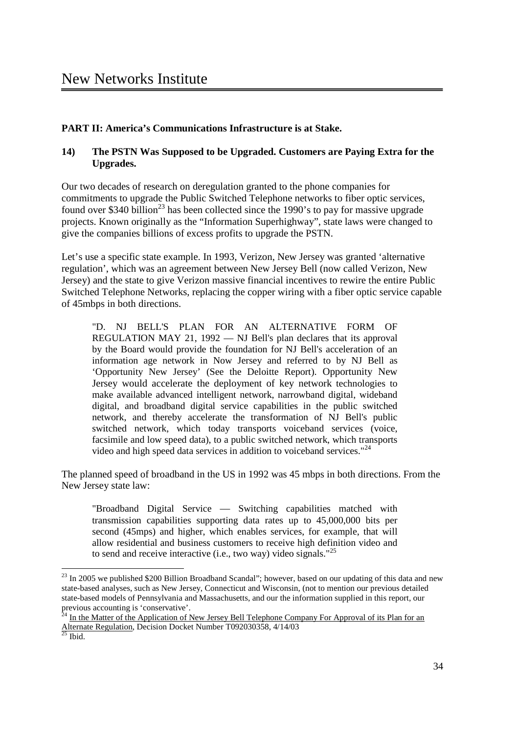## **PART II: America's Communications Infrastructure is at Stake.**

## **14) The PSTN Was Supposed to be Upgraded. Customers are Paying Extra for the Upgrades.**

Our two decades of research on deregulation granted to the phone companies for commitments to upgrade the Public Switched Telephone networks to fiber optic services, found over \$340 billion<sup>23</sup> has been collected since the 1990's to pay for massive upgrade projects. Known originally as the "Information Superhighway", state laws were changed to give the companies billions of excess profits to upgrade the PSTN.

Let's use a specific state example. In 1993, Verizon, New Jersey was granted 'alternative regulation', which was an agreement between New Jersey Bell (now called Verizon, New Jersey) and the state to give Verizon massive financial incentives to rewire the entire Public Switched Telephone Networks, replacing the copper wiring with a fiber optic service capable of 45mbps in both directions.

"D. NJ BELL'S PLAN FOR AN ALTERNATIVE FORM OF REGULATION MAY 21, 1992 — NJ Bell's plan declares that its approval by the Board would provide the foundation for NJ Bell's acceleration of an information age network in Now Jersey and referred to by NJ Bell as 'Opportunity New Jersey' (See the Deloitte Report). Opportunity New Jersey would accelerate the deployment of key network technologies to make available advanced intelligent network, narrowband digital, wideband digital, and broadband digital service capabilities in the public switched network, and thereby accelerate the transformation of NJ Bell's public switched network, which today transports voiceband services (voice, facsimile and low speed data), to a public switched network, which transports video and high speed data services in addition to voiceband services."<sup>24</sup>

The planned speed of broadband in the US in 1992 was 45 mbps in both directions. From the New Jersey state law:

"Broadband Digital Service — Switching capabilities matched with transmission capabilities supporting data rates up to 45,000,000 bits per second (45mps) and higher, which enables services, for example, that will allow residential and business customers to receive high definition video and to send and receive interactive (i.e., two way) video signals."<sup>25</sup>

<sup>&</sup>lt;sup>23</sup> In 2005 we published \$200 Billion Broadband Scandal"; however, based on our updating of this data and new state-based analyses, such as New Jersey, Connecticut and Wisconsin, (not to mention our previous detailed state-based models of Pennsylvania and Massachusetts, and our the information supplied in this report, our previous accounting is 'conservative'.

In the Matter of the Application of New Jersey Bell Telephone Company For Approval of its Plan for an Alternate Regulation, Decision Docket Number T092030358, 4/14/03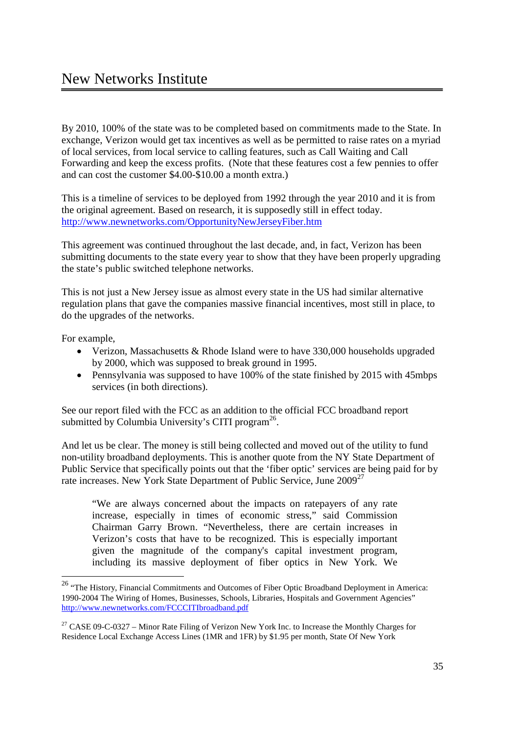By 2010, 100% of the state was to be completed based on commitments made to the State. In exchange, Verizon would get tax incentives as well as be permitted to raise rates on a myriad of local services, from local service to calling features, such as Call Waiting and Call Forwarding and keep the excess profits. (Note that these features cost a few pennies to offer and can cost the customer \$4.00-\$10.00 a month extra.)

This is a timeline of services to be deployed from 1992 through the year 2010 and it is from the original agreement. Based on research, it is supposedly still in effect today. http://www.newnetworks.com/OpportunityNewJerseyFiber.htm

This agreement was continued throughout the last decade, and, in fact, Verizon has been submitting documents to the state every year to show that they have been properly upgrading the state's public switched telephone networks.

This is not just a New Jersey issue as almost every state in the US had similar alternative regulation plans that gave the companies massive financial incentives, most still in place, to do the upgrades of the networks.

For example,

- Verizon, Massachusetts & Rhode Island were to have 330,000 households upgraded by 2000, which was supposed to break ground in 1995.
- Pennsylvania was supposed to have 100% of the state finished by 2015 with 45mbps services (in both directions).

See our report filed with the FCC as an addition to the official FCC broadband report submitted by Columbia University's CITI program $^{26}$ .

And let us be clear. The money is still being collected and moved out of the utility to fund non-utility broadband deployments. This is another quote from the NY State Department of Public Service that specifically points out that the 'fiber optic' services are being paid for by rate increases. New York State Department of Public Service, June 2009<sup>27</sup>

"We are always concerned about the impacts on ratepayers of any rate increase, especially in times of economic stress," said Commission Chairman Garry Brown. "Nevertheless, there are certain increases in Verizon's costs that have to be recognized. This is especially important given the magnitude of the company's capital investment program, including its massive deployment of fiber optics in New York. We

<sup>&</sup>lt;sup>26</sup> "The History, Financial Commitments and Outcomes of Fiber Optic Broadband Deployment in America: 1990-2004 The Wiring of Homes, Businesses, Schools, Libraries, Hospitals and Government Agencies" http://www.newnetworks.com/FCCCITIbroadband.pdf

<sup>&</sup>lt;sup>27</sup> CASE 09-C-0327 – Minor Rate Filing of Verizon New York Inc. to Increase the Monthly Charges for Residence Local Exchange Access Lines (1MR and 1FR) by \$1.95 per month, State Of New York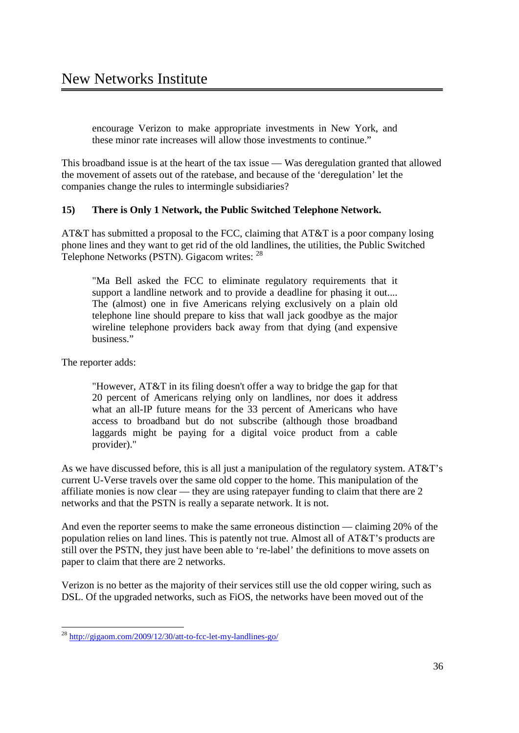encourage Verizon to make appropriate investments in New York, and these minor rate increases will allow those investments to continue."

This broadband issue is at the heart of the tax issue — Was deregulation granted that allowed the movement of assets out of the ratebase, and because of the 'deregulation' let the companies change the rules to intermingle subsidiaries?

## **15) There is Only 1 Network, the Public Switched Telephone Network.**

AT&T has submitted a proposal to the FCC, claiming that AT&T is a poor company losing phone lines and they want to get rid of the old landlines, the utilities, the Public Switched Telephone Networks (PSTN). Gigacom writes: 28

"Ma Bell asked the FCC to eliminate regulatory requirements that it support a landline network and to provide a deadline for phasing it out.... The (almost) one in five Americans relying exclusively on a plain old telephone line should prepare to kiss that wall jack goodbye as the major wireline telephone providers back away from that dying (and expensive business."

The reporter adds:

"However, AT&T in its filing doesn't offer a way to bridge the gap for that 20 percent of Americans relying only on landlines, nor does it address what an all-IP future means for the 33 percent of Americans who have access to broadband but do not subscribe (although those broadband laggards might be paying for a digital voice product from a cable provider)."

As we have discussed before, this is all just a manipulation of the regulatory system. AT&T's current U-Verse travels over the same old copper to the home. This manipulation of the affiliate monies is now clear — they are using ratepayer funding to claim that there are 2 networks and that the PSTN is really a separate network. It is not.

And even the reporter seems to make the same erroneous distinction — claiming 20% of the population relies on land lines. This is patently not true. Almost all of AT&T's products are still over the PSTN, they just have been able to 're-label' the definitions to move assets on paper to claim that there are 2 networks.

Verizon is no better as the majority of their services still use the old copper wiring, such as DSL. Of the upgraded networks, such as FiOS, the networks have been moved out of the

 <sup>28</sup> http://gigaom.com/2009/12/30/att-to-fcc-let-my-landlines-go/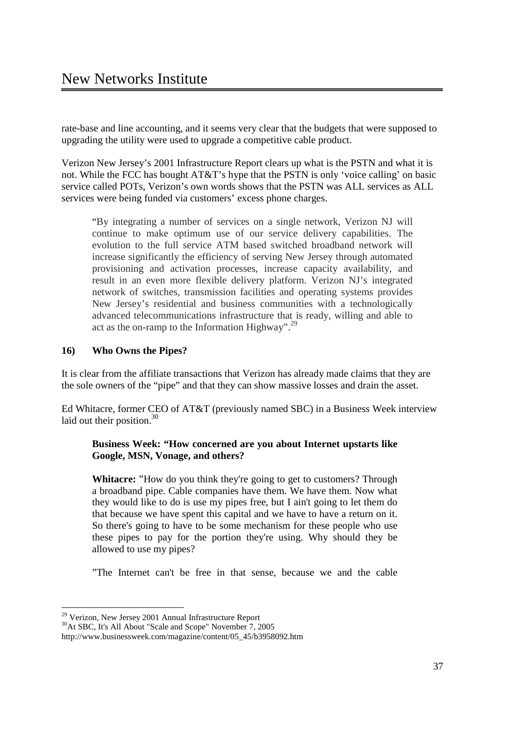rate-base and line accounting, and it seems very clear that the budgets that were supposed to upgrading the utility were used to upgrade a competitive cable product.

Verizon New Jersey's 2001 Infrastructure Report clears up what is the PSTN and what it is not. While the FCC has bought AT&T's hype that the PSTN is only 'voice calling' on basic service called POTs, Verizon's own words shows that the PSTN was ALL services as ALL services were being funded via customers' excess phone charges.

"By integrating a number of services on a single network, Verizon NJ will continue to make optimum use of our service delivery capabilities. The evolution to the full service ATM based switched broadband network will increase significantly the efficiency of serving New Jersey through automated provisioning and activation processes, increase capacity availability, and result in an even more flexible delivery platform. Verizon NJ's integrated network of switches, transmission facilities and operating systems provides New Jersey's residential and business communities with a technologically advanced telecommunications infrastructure that is ready, willing and able to act as the on-ramp to the Information Highway".<sup>29</sup>

## **16) Who Owns the Pipes?**

It is clear from the affiliate transactions that Verizon has already made claims that they are the sole owners of the "pipe" and that they can show massive losses and drain the asset.

Ed Whitacre, former CEO of AT&T (previously named SBC) in a Business Week interview laid out their position. $30$ 

#### **Business Week: "How concerned are you about Internet upstarts like Google, MSN, Vonage, and others?**

**Whitacre:** "How do you think they're going to get to customers? Through a broadband pipe. Cable companies have them. We have them. Now what they would like to do is use my pipes free, but I ain't going to let them do that because we have spent this capital and we have to have a return on it. So there's going to have to be some mechanism for these people who use these pipes to pay for the portion they're using. Why should they be allowed to use my pipes?

"The Internet can't be free in that sense, because we and the cable

<sup>&</sup>lt;sup>29</sup> Verizon, New Jersey 2001 Annual Infrastructure Report

<sup>&</sup>lt;sup>30</sup>At SBC, It's All About "Scale and Scope" November 7, 2005

http://www.businessweek.com/magazine/content/05\_45/b3958092.htm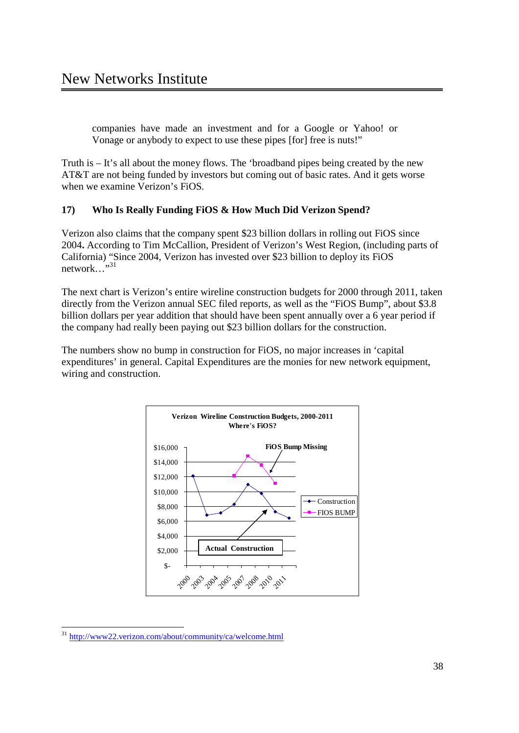companies have made an investment and for a Google or Yahoo! or Vonage or anybody to expect to use these pipes [for] free is nuts!"

Truth is – It's all about the money flows. The 'broadband pipes being created by the new AT&T are not being funded by investors but coming out of basic rates. And it gets worse when we examine Verizon's FiOS.

## **17) Who Is Really Funding FiOS & How Much Did Verizon Spend?**

Verizon also claims that the company spent \$23 billion dollars in rolling out FiOS since 2004**.** According to Tim McCallion, President of Verizon's West Region, (including parts of California) "Since 2004, Verizon has invested over \$23 billion to deploy its FiOS network…"<sup>31</sup>

The next chart is Verizon's entire wireline construction budgets for 2000 through 2011, taken directly from the Verizon annual SEC filed reports, as well as the "FiOS Bump", about \$3.8 billion dollars per year addition that should have been spent annually over a 6 year period if the company had really been paying out \$23 billion dollars for the construction.

The numbers show no bump in construction for FiOS, no major increases in 'capital expenditures' in general. Capital Expenditures are the monies for new network equipment, wiring and construction.



 <sup>31</sup> http://www22.verizon.com/about/community/ca/welcome.html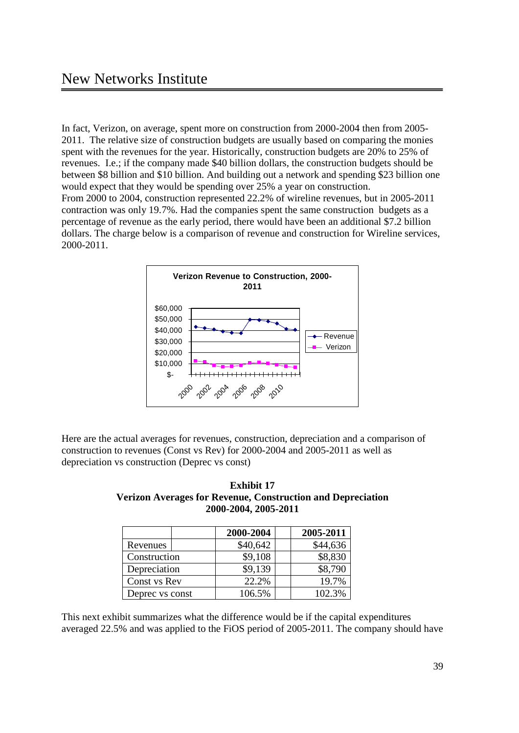In fact, Verizon, on average, spent more on construction from 2000-2004 then from 2005- 2011. The relative size of construction budgets are usually based on comparing the monies spent with the revenues for the year. Historically, construction budgets are 20% to 25% of revenues. I.e.; if the company made \$40 billion dollars, the construction budgets should be between \$8 billion and \$10 billion. And building out a network and spending \$23 billion one would expect that they would be spending over 25% a year on construction. From 2000 to 2004, construction represented 22.2% of wireline revenues, but in 2005-2011 contraction was only 19.7%. Had the companies spent the same construction budgets as a percentage of revenue as the early period, there would have been an additional \$7.2 billion dollars. The charge below is a comparison of revenue and construction for Wireline services, 2000-2011.



Here are the actual averages for revenues, construction, depreciation and a comparison of construction to revenues (Const vs Rev) for 2000-2004 and 2005-2011 as well as depreciation vs construction (Deprec vs const)

| <b>Verizon Averages for Revenue, Construction and Depreciation</b> |
|--------------------------------------------------------------------|
| 2000-2004, 2005-2011                                               |
|                                                                    |

**Exhibit 17**

|                 | 2000-2004 | 2005-2011 |
|-----------------|-----------|-----------|
| Revenues        | \$40,642  | \$44,636  |
| Construction    | \$9,108   | \$8,830   |
| Depreciation    | \$9,139   | \$8,790   |
| Const vs Rev    | 22.2%     | 19.7%     |
| Deprec vs const | 106.5%    | 102.3%    |

This next exhibit summarizes what the difference would be if the capital expenditures averaged 22.5% and was applied to the FiOS period of 2005-2011. The company should have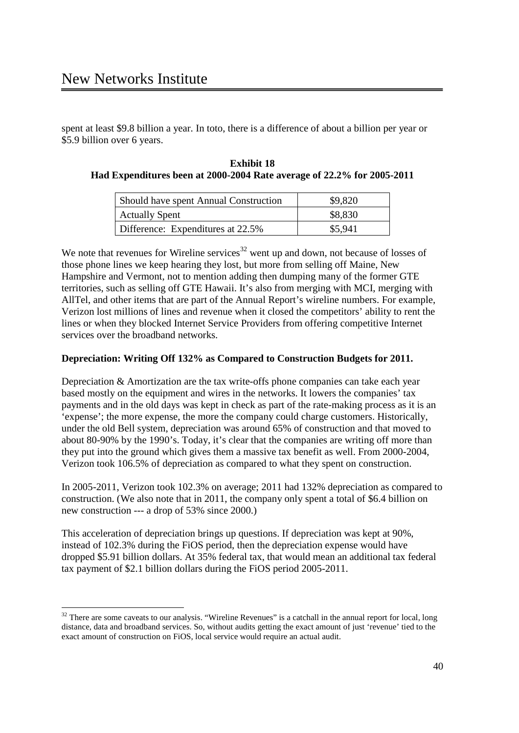spent at least \$9.8 billion a year. In toto, there is a difference of about a billion per year or \$5.9 billion over 6 years.

| <b>Exhibit 18</b>                                                      |  |
|------------------------------------------------------------------------|--|
| Had Expenditures been at 2000-2004 Rate average of 22.2% for 2005-2011 |  |

| Should have spent Annual Construction | \$9,820 |
|---------------------------------------|---------|
| <b>Actually Spent</b>                 | \$8,830 |
| Difference: Expenditures at 22.5%     | \$5,941 |

We note that revenues for Wireline services<sup>32</sup> went up and down, not because of losses of those phone lines we keep hearing they lost, but more from selling off Maine, New Hampshire and Vermont, not to mention adding then dumping many of the former GTE territories, such as selling off GTE Hawaii. It's also from merging with MCI, merging with AllTel, and other items that are part of the Annual Report's wireline numbers. For example, Verizon lost millions of lines and revenue when it closed the competitors' ability to rent the lines or when they blocked Internet Service Providers from offering competitive Internet services over the broadband networks.

## **Depreciation: Writing Off 132% as Compared to Construction Budgets for 2011.**

Depreciation & Amortization are the tax write-offs phone companies can take each year based mostly on the equipment and wires in the networks. It lowers the companies' tax payments and in the old days was kept in check as part of the rate-making process as it is an 'expense'; the more expense, the more the company could charge customers. Historically, under the old Bell system, depreciation was around 65% of construction and that moved to about 80-90% by the 1990's. Today, it's clear that the companies are writing off more than they put into the ground which gives them a massive tax benefit as well. From 2000-2004, Verizon took 106.5% of depreciation as compared to what they spent on construction.

In 2005-2011, Verizon took 102.3% on average; 2011 had 132% depreciation as compared to construction. (We also note that in 2011, the company only spent a total of \$6.4 billion on new construction --- a drop of 53% since 2000.)

This acceleration of depreciation brings up questions. If depreciation was kept at 90%, instead of 102.3% during the FiOS period, then the depreciation expense would have dropped \$5.91 billion dollars. At 35% federal tax, that would mean an additional tax federal tax payment of \$2.1 billion dollars during the FiOS period 2005-2011.

<sup>&</sup>lt;sup>32</sup> There are some caveats to our analysis. "Wireline Revenues" is a catchall in the annual report for local, long distance, data and broadband services. So, without audits getting the exact amount of just 'revenue' tied to the exact amount of construction on FiOS, local service would require an actual audit.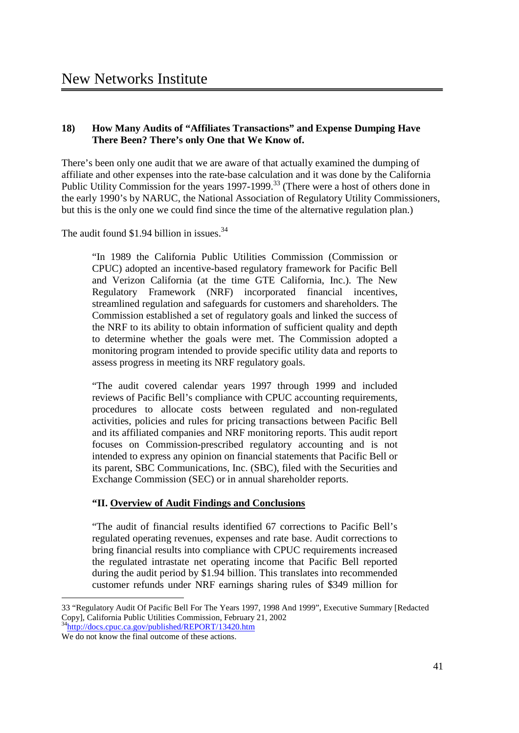## **18) How Many Audits of "Affiliates Transactions" and Expense Dumping Have There Been? There's only One that We Know of.**

There's been only one audit that we are aware of that actually examined the dumping of affiliate and other expenses into the rate-base calculation and it was done by the California Public Utility Commission for the years 1997-1999.<sup>33</sup> (There were a host of others done in the early 1990's by NARUC, the National Association of Regulatory Utility Commissioners, but this is the only one we could find since the time of the alternative regulation plan.)

The audit found  $$1.94$  billion in issues.<sup>34</sup>

"In 1989 the California Public Utilities Commission (Commission or CPUC) adopted an incentive-based regulatory framework for Pacific Bell and Verizon California (at the time GTE California, Inc.). The New Regulatory Framework (NRF) incorporated financial incentives, streamlined regulation and safeguards for customers and shareholders. The Commission established a set of regulatory goals and linked the success of the NRF to its ability to obtain information of sufficient quality and depth to determine whether the goals were met. The Commission adopted a monitoring program intended to provide specific utility data and reports to assess progress in meeting its NRF regulatory goals.

"The audit covered calendar years 1997 through 1999 and included reviews of Pacific Bell's compliance with CPUC accounting requirements, procedures to allocate costs between regulated and non-regulated activities, policies and rules for pricing transactions between Pacific Bell and its affiliated companies and NRF monitoring reports. This audit report focuses on Commission-prescribed regulatory accounting and is not intended to express any opinion on financial statements that Pacific Bell or its parent, SBC Communications, Inc. (SBC), filed with the Securities and Exchange Commission (SEC) or in annual shareholder reports.

## **"II. Overview of Audit Findings and Conclusions**

"The audit of financial results identified 67 corrections to Pacific Bell's regulated operating revenues, expenses and rate base. Audit corrections to bring financial results into compliance with CPUC requirements increased the regulated intrastate net operating income that Pacific Bell reported during the audit period by \$1.94 billion. This translates into recommended customer refunds under NRF earnings sharing rules of \$349 million for

 <sup>33 &</sup>quot;Regulatory Audit Of Pacific Bell For The Years 1997, 1998 And 1999", Executive Summary [Redacted Copy], California Public Utilities Commission, February 21, 2002

<sup>&</sup>lt;sup>34</sup>http://docs.cpuc.ca.gov/published/REPORT/13420.htm We do not know the final outcome of these actions.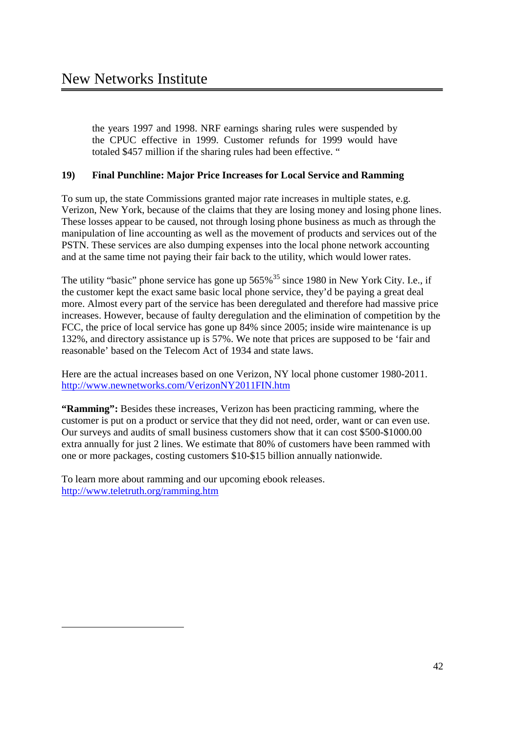the years 1997 and 1998. NRF earnings sharing rules were suspended by the CPUC effective in 1999. Customer refunds for 1999 would have totaled \$457 million if the sharing rules had been effective. "

## **19) Final Punchline: Major Price Increases for Local Service and Ramming**

To sum up, the state Commissions granted major rate increases in multiple states, e.g. Verizon, New York, because of the claims that they are losing money and losing phone lines. These losses appear to be caused, not through losing phone business as much as through the manipulation of line accounting as well as the movement of products and services out of the PSTN. These services are also dumping expenses into the local phone network accounting and at the same time not paying their fair back to the utility, which would lower rates.

The utility "basic" phone service has gone up  $565\%$ <sup>35</sup> since 1980 in New York City. I.e., if the customer kept the exact same basic local phone service, they'd be paying a great deal more. Almost every part of the service has been deregulated and therefore had massive price increases. However, because of faulty deregulation and the elimination of competition by the FCC, the price of local service has gone up 84% since 2005; inside wire maintenance is up 132%, and directory assistance up is 57%. We note that prices are supposed to be 'fair and reasonable' based on the Telecom Act of 1934 and state laws.

Here are the actual increases based on one Verizon, NY local phone customer 1980-2011. http://www.newnetworks.com/VerizonNY2011FIN.htm

**"Ramming":** Besides these increases, Verizon has been practicing ramming, where the customer is put on a product or service that they did not need, order, want or can even use. Our surveys and audits of small business customers show that it can cost \$500-\$1000.00 extra annually for just 2 lines. We estimate that 80% of customers have been rammed with one or more packages, costing customers \$10-\$15 billion annually nationwide.

To learn more about ramming and our upcoming ebook releases. http://www.teletruth.org/ramming.htm

l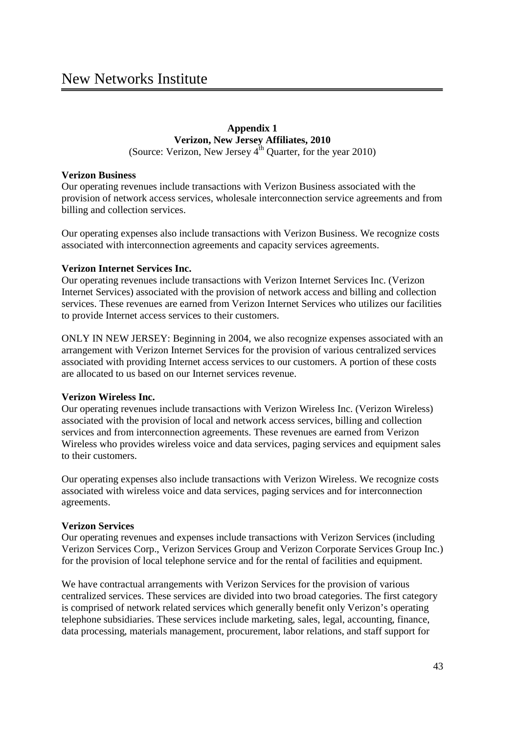#### **Appendix 1 Verizon, New Jersey Affiliates, 2010** (Source: Verizon, New Jersey  $4^{th}$  Quarter, for the year 2010)

#### **Verizon Business**

Our operating revenues include transactions with Verizon Business associated with the provision of network access services, wholesale interconnection service agreements and from billing and collection services.

Our operating expenses also include transactions with Verizon Business. We recognize costs associated with interconnection agreements and capacity services agreements.

#### **Verizon Internet Services Inc.**

Our operating revenues include transactions with Verizon Internet Services Inc. (Verizon Internet Services) associated with the provision of network access and billing and collection services. These revenues are earned from Verizon Internet Services who utilizes our facilities to provide Internet access services to their customers.

ONLY IN NEW JERSEY: Beginning in 2004, we also recognize expenses associated with an arrangement with Verizon Internet Services for the provision of various centralized services associated with providing Internet access services to our customers. A portion of these costs are allocated to us based on our Internet services revenue.

## **Verizon Wireless Inc.**

Our operating revenues include transactions with Verizon Wireless Inc. (Verizon Wireless) associated with the provision of local and network access services, billing and collection services and from interconnection agreements. These revenues are earned from Verizon Wireless who provides wireless voice and data services, paging services and equipment sales to their customers.

Our operating expenses also include transactions with Verizon Wireless. We recognize costs associated with wireless voice and data services, paging services and for interconnection agreements.

## **Verizon Services**

Our operating revenues and expenses include transactions with Verizon Services (including Verizon Services Corp., Verizon Services Group and Verizon Corporate Services Group Inc.) for the provision of local telephone service and for the rental of facilities and equipment.

We have contractual arrangements with Verizon Services for the provision of various centralized services. These services are divided into two broad categories. The first category is comprised of network related services which generally benefit only Verizon's operating telephone subsidiaries. These services include marketing, sales, legal, accounting, finance, data processing, materials management, procurement, labor relations, and staff support for